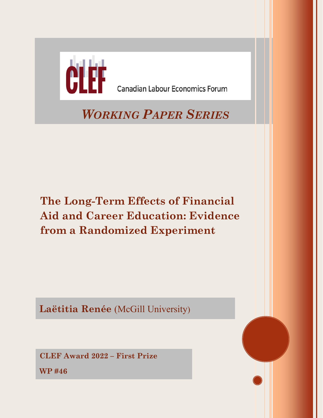

**The Long-Term Effects of Financial Aid and Career Education: Evidence from a Randomized Experiment**

**Laëtitia Renée** (McGill University)

**CLEF Award 2022 – First Prize**

**WP #46**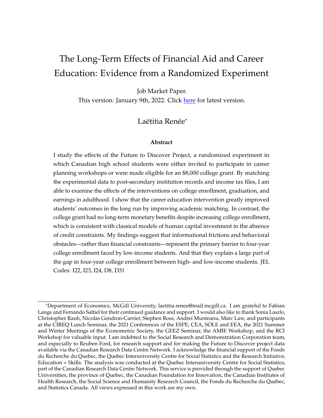# The Long-Term Effects of Financial Aid and Career Education: Evidence from a Randomized Experiment

Job Market Paper.

This version: January 9th, 2022. Click [here](https://www.laetitiarenee.com/files/JMP_LRenee.pdf) for latest version.

### Laëtitia Renée\*

#### **Abstract**

I study the effects of the Future to Discover Project, a randomized experiment in which Canadian high school students were either invited to participate in career planning workshops or were made eligible for an \$8,000 college grant. By matching the experimental data to post-secondary institution records and income tax files, I am able to examine the effects of the interventions on college enrollment, graduation, and earnings in adulthood. I show that the career education intervention greatly improved students' outcomes in the long run by improving academic matching. In contrast, the college grant had no long-term monetary benefits despite increasing college enrollment, which is consistent with classical models of human capital investment in the absence of credit constraints. My findings suggest that informational frictions and behavioral obstacles—rather than financial constraints—represent the primary barrier to four-year college enrollment faced by low-income students. And that they explain a large part of the gap in four-year college enrollment between high- and low-income students. JEL Codes: I22, I23, I24, D8, D31

<sup>\*</sup>Department of Economics, McGill University, laetitia.renee@mail.mcgill.ca. I am grateful to Fabian Lange and Fernando Saltiel for their continued guidance and support. I would also like to thank Sonia Laszlo, Christopher Rauh, Nicolas Gendron-Carrier, Stephen Ross, Andrei Munteanu, Marc Law, and participants at the CIREQ Lunch Seminar, the 2021 Conferences of the ESPE, CEA, SOLE and EEA, the 2021 Summer and Winter Meetings of the Econometric Society, the GEEZ Seminar, the AMIE Workshop, and the RCI Workshop for valuable input. I am indebted to the Social Research and Demonstration Corporation team, and especially to Reuben Ford, for research support and for making the Future to Discover project data available via the Canadian Research Data Centre Network. I acknowledge the financial support of the Fonds du Recherche du Quebec, the Quebec Interuniversity Centre for Social Statistics and the Research Initiative, Education + Skills. The analysis was conducted at the Quebec Interuniversity Centre for Social Statistics, part of the Canadian Research Data Centre Network. This service is provided through the support of Quebec Universities, the province of Quebec, the Canadian Foundation for Innovation, the Canadian Institutes of Health Research, the Social Science and Humanity Research Council, the Fonds du Recherche du Québec, and Statistics Canada. All views expressed in this work are my own.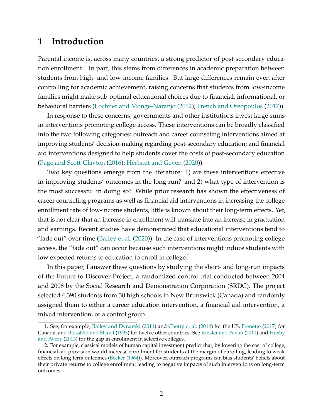## **1 Introduction**

Parental income is, across many countries, a strong predictor of post-secondary education enrollment. $^1$  $^1$  In part, this stems from differences in academic preparation between students from high- and low-income families. But large differences remain even after controlling for academic achievement, raising concerns that students from low-income families might make sub-optimal educational choices due to financial, informational, or behavioral barriers [\(Lochner and Monge-Naranjo](#page-35-0) [\(2012\)](#page-35-0); [French and Oreopoulos](#page-34-0) [\(2017\)](#page-34-0)).

In response to these concerns, governments and other institutions invest large sums in interventions promoting college access. These interventions can be broadly classified into the two following categories: outreach and career counseling interventions aimed at improving students' decision-making regarding post-secondary education; and financial aid interventions designed to help students cover the costs of post-secondary education [\(Page and Scott-Clayton](#page-35-1) [\(2016\)](#page-35-1); [Herbaut and Geven](#page-34-1) [\(2020\)](#page-34-1)).

Two key questions emerge from the literature: 1) are these interventions effective in improving students' outcomes in the long run? and 2) what type of intervention is the most successful in doing so? While prior research has shown the effectiveness of career counseling programs as well as financial aid interventions in increasing the college enrollment rate of low-income students, little is known about their long-term effects. Yet, that is not clear that an increase in enrollment will translate into an increase in graduation and earnings. Recent studies have demonstrated that educational interventions tend to "fade out" over time [\(Bailey et al.](#page-32-0) [\(2020\)](#page-32-0)). In the case of interventions promoting college access, the "fade out" can occur because such interventions might induce students with low expected returns to education to enroll in college.<sup>[2](#page-2-1)</sup>

In this paper, I answer these questions by studying the short- and long-run impacts of the Future to Discover Project, a randomized control trial conducted between 2004 and 2008 by the Social Research and Demonstration Corporation (SRDC). The project selected 4,390 students from 30 high schools in New Brunswick (Canada) and randomly assigned them to either a career education intervention, a financial aid intervention, a mixed intervention, or a control group.

<span id="page-2-0"></span><sup>1.</sup> See, for example, [Bailey and Dynarski](#page-32-1) [\(2011\)](#page-32-1) and [Chetty et al.](#page-33-0) [\(2014\)](#page-33-0) for the US, [Frenette](#page-34-2) [\(2017\)](#page-34-2) for Canada, and [Blossfeld and Shavit](#page-33-1) [\(1993\)](#page-33-1) for twelve other countries. See [Kinsler and Pavan](#page-35-2) [\(2011\)](#page-35-2) and [Hoxby](#page-35-3) [and Avery](#page-35-3) [\(2013\)](#page-35-3) for the gap in enrollment in selective colleges.

<span id="page-2-1"></span><sup>2.</sup> For example, classical models of human capital investment predict that, by lowering the cost of college, financial aid provision would increase enrollment for students at the margin of enrolling, leading to weak effects on long-term outcomes [\(Becker](#page-32-2) [\(1964\)](#page-32-2)). Moreover, outreach programs can bias students' beliefs about their private returns to college enrollment leading to negative impacts of such interventions on long-term outcomes.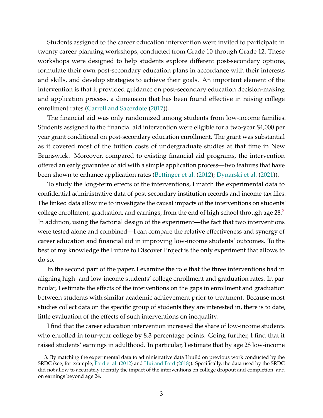Students assigned to the career education intervention were invited to participate in twenty career planning workshops, conducted from Grade 10 through Grade 12. These workshops were designed to help students explore different post-secondary options, formulate their own post-secondary education plans in accordance with their interests and skills, and develop strategies to achieve their goals. An important element of the intervention is that it provided guidance on post-secondary education decision-making and application process, a dimension that has been found effective in raising college enrollment rates [\(Carrell and Sacerdote](#page-33-2) [\(2017\)](#page-33-2)).

The financial aid was only randomized among students from low-income families. Students assigned to the financial aid intervention were eligible for a two-year \$4,000 per year grant conditional on post-secondary education enrollment. The grant was substantial as it covered most of the tuition costs of undergraduate studies at that time in New Brunswick. Moreover, compared to existing financial aid programs, the intervention offered an early guarantee of aid with a simple application process—two features that have been shown to enhance application rates [\(Bettinger et al.](#page-33-3) [\(2012\)](#page-33-3); [Dynarski et al.](#page-34-3) [\(2021\)](#page-34-3)).

To study the long-term effects of the interventions, I match the experimental data to confidential administrative data of post-secondary institution records and income tax files. The linked data allow me to investigate the causal impacts of the interventions on students' college enrollment, graduation, and earnings, from the end of high school through age  $28<sup>3</sup>$  $28<sup>3</sup>$  $28<sup>3</sup>$ In addition, using the factorial design of the experiment—the fact that two interventions were tested alone and combined—I can compare the relative effectiveness and synergy of career education and financial aid in improving low-income students' outcomes. To the best of my knowledge the Future to Discover Project is the only experiment that allows to do so.

In the second part of the paper, I examine the role that the three interventions had in aligning high- and low-income students' college enrollment and graduation rates. In particular, I estimate the effects of the interventions on the gaps in enrollment and graduation between students with similar academic achievement prior to treatment. Because most studies collect data on the specific group of students they are interested in, there is to date, little evaluation of the effects of such interventions on inequality.

I find that the career education intervention increased the share of low-income students who enrolled in four-year college by 8.3 percentage points. Going further, I find that it raised students' earnings in adulthood. In particular, I estimate that by age 28 low-income

<span id="page-3-0"></span><sup>3.</sup> By matching the experimental data to administrative data I build on previous work conducted by the SRDC (see, for example, [Ford et al.](#page-34-4) [\(2012\)](#page-34-4) and [Hui and Ford](#page-35-4) [\(2018\)](#page-35-4)). Specifically, the data used by the SRDC did not allow to accurately identify the impact of the interventions on college dropout and completion, and on earnings beyond age 24.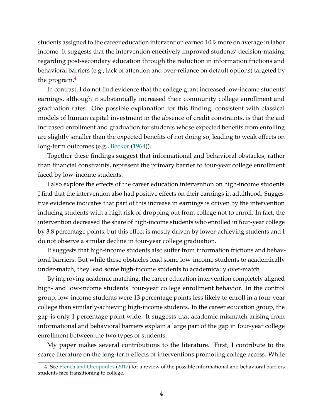students assigned to the career education intervention earned 10% more on average in labor income. It suggests that the intervention effectively improved students' decision-making regarding post-secondary education through the reduction in information frictions and behavioral barriers (e.g., lack of attention and over-reliance on default options) targeted by the program.<sup>[4](#page-4-0)</sup>

In contrast, I do not find evidence that the college grant increased low-income students' earnings, although it substantially increased their community college enrollment and graduation rates. One possible explanation for this finding, consistent with classical models of human capital investment in the absence of credit constraints, is that the aid increased enrollment and graduation for students whose expected benefits from enrolling are slightly smaller than the expected benefits of not doing so, leading to weak effects on long-term outcomes (e.g., [Becker](#page-32-2) [\(1964\)](#page-32-2)).

Together these findings suggest that informational and behavioral obstacles, rather than financial constraints, represent the primary barrier to four-year college enrollment faced by low-income students.

I also explore the effects of the career education intervention on high-income students. I find that the intervention also had positive effects on their earnings in adulthood. Suggestive evidence indicates that part of this increase in earnings is driven by the intervention inducing students with a high risk of dropping out from college not to enroll. In fact, the intervention decreased the share of high-income students who enrolled in four-year college by 3.8 percentage points, but this effect is mostly driven by lower-achieving students and I do not observe a similar decline in four-year college graduation.

It suggests that high-income students also suffer from information frictions and behavioral barriers. But while these obstacles lead some low-income students to academically under-match, they lead some high-income students to academically over-match

By improving academic matching, the career education intervention completely aligned high- and low-income students' four-year college enrollment behavior. In the control group, low-income students were 13 percentage points less likely to enroll in a four-year college than similarly-achieving high-income students. In the career education group, the gap is only 1 percentage point wide. It suggests that academic mismatch arising from informational and behavioral barriers explain a large part of the gap in four-year college enrollment between the two types of students.

My paper makes several contributions to the literature. First, I contribute to the scarce literature on the long-term effects of interventions promoting college access. While

<span id="page-4-0"></span><sup>4.</sup> See [French and Oreopoulos](#page-34-0) [\(2017\)](#page-34-0) for a review of the possible informational and behavioral barriers students face transitioning to college.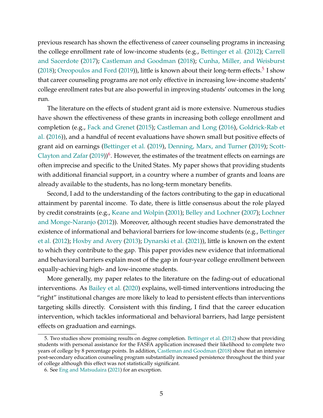previous research has shown the effectiveness of career counseling programs in increasing the college enrollment rate of low-income students (e.g., [Bettinger et al.](#page-33-3) [\(2012\)](#page-33-3); [Carrell](#page-33-2) [and Sacerdote](#page-33-2) [\(2017\)](#page-33-2); [Castleman and Goodman](#page-33-4) [\(2018\)](#page-33-4); [Cunha, Miller, and Weisburst](#page-33-5) [\(2018\)](#page-33-5); [Oreopoulos and Ford](#page-35-5) [\(2019\)](#page-35-5)), little is known about their long-term effects.<sup>[5](#page-5-0)</sup> I show that career counseling programs are not only effective in increasing low-income students' college enrollment rates but are also powerful in improving students' outcomes in the long run.

The literature on the effects of student grant aid is more extensive. Numerous studies have shown the effectiveness of these grants in increasing both college enrollment and completion (e.g., [Fack and Grenet](#page-34-5) [\(2015\)](#page-34-5); [Castleman and Long](#page-33-6) [\(2016\)](#page-33-6), [Goldrick-Rab et](#page-34-6) [al.](#page-34-6) [\(2016\)](#page-34-6)), and a handful of recent evaluations have shown small but positive effects of grant aid on earnings [\(Bettinger et al.](#page-32-3) [\(2019\)](#page-32-3), [Denning, Marx, and Turner](#page-34-7) [\(2019\)](#page-34-7); [Scott-](#page-35-6)[Clayton and Zafar](#page-35-6) [\(2019\)](#page-35-6))<sup>[6](#page-5-1)</sup>. However, the estimates of the treatment effects on earnings are often imprecise and specific to the United States. My paper shows that providing students with additional financial support, in a country where a number of grants and loans are already available to the students, has no long-term monetary benefits.

Second, I add to the understanding of the factors contributing to the gap in educational attainment by parental income. To date, there is little consensus about the role played by credit constraints (e.g., [Keane and Wolpin](#page-35-7) [\(2001\)](#page-35-7); [Belley and Lochner](#page-32-4) [\(2007\)](#page-32-4); [Lochner](#page-35-0) [and Monge-Naranjo](#page-35-0) [\(2012\)](#page-35-0)). Moreover, although recent studies have demonstrated the existence of informational and behavioral barriers for low-income students (e.g., [Bettinger](#page-33-3) [et al.](#page-33-3) [\(2012\)](#page-33-3); [Hoxby and Avery](#page-35-3) [\(2013\)](#page-35-3); [Dynarski et al.](#page-34-3) [\(2021\)](#page-34-3)), little is known on the extent to which they contribute to the gap. This paper provides new evidence that informational and behavioral barriers explain most of the gap in four-year college enrollment between equally-achieving high- and low-income students.

More generally, my paper relates to the literature on the fading-out of educational interventions. As [Bailey et al.](#page-32-0) [\(2020\)](#page-32-0) explains, well-timed interventions introducing the "right" institutional changes are more likely to lead to persistent effects than interventions targeting skills directly. Consistent with this finding, I find that the career education intervention, which tackles informational and behavioral barriers, had large persistent effects on graduation and earnings.

<span id="page-5-0"></span><sup>5.</sup> Two studies show promising results on degree completion. [Bettinger et al.](#page-33-3) [\(2012\)](#page-33-3) show that providing students with personal assistance for the FASFA application increased their likelihood to complete two years of college by 8 percentage points. In addition, [Castleman and Goodman](#page-33-4) [\(2018\)](#page-33-4) show that an intensive post-secondary education counseling program substantially increased persistence throughout the third year of college although this effect was not statistically significant.

<span id="page-5-1"></span><sup>6.</sup> See [Eng and Matsudaira](#page-34-8) [\(2021\)](#page-34-8) for an exception.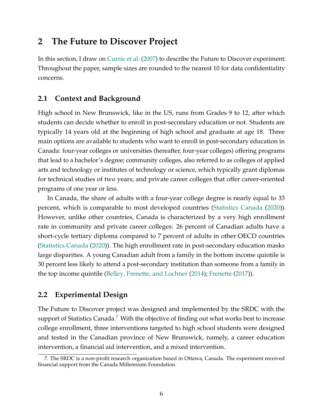# **2 The Future to Discover Project**

In this section, I draw on [Currie et al.](#page-33-7) [\(2007\)](#page-33-7) to describe the Future to Discover experiment. Throughout the paper, sample sizes are rounded to the nearest 10 for data confidentiality concerns.

## **2.1 Context and Background**

High school in New Brunswick, like in the US, runs from Grades 9 to 12, after which students can decide whether to enroll in post-secondary education or not. Students are typically 14 years old at the beginning of high school and graduate at age 18. Three main options are available to students who want to enroll in post-secondary education in Canada: four-year colleges or universities (hereafter, four-year colleges) offering programs that lead to a bachelor's degree; community colleges, also referred to as colleges of applied arts and technology or institutes of technology or science, which typically grant diplomas for technical studies of two years; and private career colleges that offer career-oriented programs of one year or less.

In Canada, the share of adults with a four-year college degree is nearly equal to 33 percent, which is comparable to most developed countries [\(Statistics Canada](#page-36-0) [\(2020\)](#page-36-0)). However, unlike other countries, Canada is characterized by a very high enrollment rate in community and private career colleges: 26 percent of Canadian adults have a short-cycle tertiary diploma compared to 7 percent of adults in other OECD countries [\(Statistics Canada](#page-36-0) [\(2020\)](#page-36-0)). The high enrollment rate in post-secondary education masks large disparities. A young Canadian adult from a family in the bottom income quintile is 30 percent less likely to attend a post-secondary institution than someone from a family in the top income quintile [\(Belley, Frenette, and Lochner](#page-32-5) [\(2014\)](#page-32-5); [Frenette](#page-34-2) [\(2017\)](#page-34-2)).

### **2.2 Experimental Design**

The Future to Discover project was designed and implemented by the SRDC with the support of Statistics Canada.<sup>[7](#page-6-0)</sup> With the objective of finding out what works best to increase college enrollment, three interventions targeted to high school students were designed and tested in the Canadian province of New Brunswick, namely, a career education intervention, a financial aid intervention, and a mixed intervention.

<span id="page-6-0"></span><sup>7.</sup> The SRDC is a non-profit research organization based in Ottawa, Canada. The experiment received financial support from the Canada Millennium Foundation.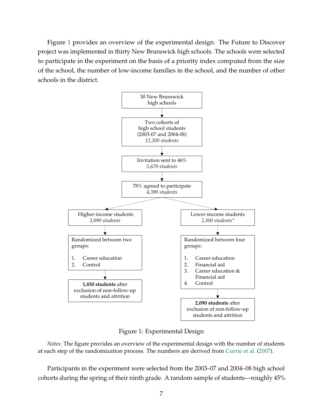Figure [1](#page-7-0) provides an overview of the experimental design. The Future to Discover project was implemented in thirty New Brunswick high schools. The schools were selected to participate in the experiment on the basis of a priority index computed from the size of the school, the number of low-income families in the school, and the number of other schools in the district.

<span id="page-7-0"></span>

Figure 1: Experimental Design

*Notes:* The figure provides an overview of the experimental design with the number of students at each step of the randomization process. The numbers are derived from [Currie et al.](#page-33-7) [\(2007\)](#page-33-7).

Participants in the experiment were selected from the 2003–07 and 2004–08 high school cohorts during the spring of their ninth grade. A random sample of students—roughly 45%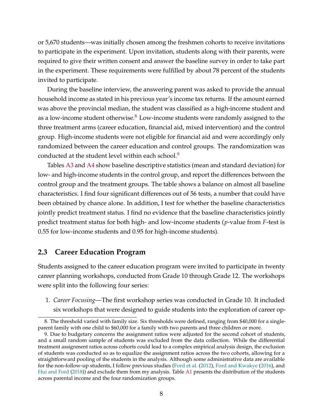or 5,670 students—was initially chosen among the freshmen cohorts to receive invitations to participate in the experiment. Upon invitation, students along with their parents, were required to give their written consent and answer the baseline survey in order to take part in the experiment. These requirements were fulfilled by about 78 percent of the students invited to participate.

During the baseline interview, the answering parent was asked to provide the annual household income as stated in his previous year's income tax returns. If the amount earned was above the provincial median, the student was classified as a high-income student and as a low-income student otherwise. $8 \text{ Low-income students were randomly assigned to the}$  $8 \text{ Low-income students were randomly assigned to the}$ three treatment arms (career education, financial aid, mixed intervention) and the control group. High-income students were not eligible for financial aid and were accordingly only randomized between the career education and control groups. The randomization was conducted at the student level within each school.<sup>[9](#page-8-1)</sup>

Tables [A3](#page-38-0) and [A4](#page-39-0) show baseline descriptive statistics (mean and standard deviation) for low- and high-income students in the control group, and report the differences between the control group and the treatment groups. The table shows a balance on almost all baseline characteristics. I find four significant differences out of 56 tests, a number that could have been obtained by chance alone. In addition, I test for whether the baseline characteristics jointly predict treatment status. I find no evidence that the baseline characteristics jointly predict treatment status for both high- and low-income students (*p*-value from *F*-test is 0.55 for low-income students and 0.95 for high-income students).

### **2.3 Career Education Program**

Students assigned to the career education program were invited to participate in twenty career planning workshops, conducted from Grade 10 through Grade 12. The workshops were split into the following four series:

1. *Career Focusing*—The first workshop series was conducted in Grade 10. It included six workshops that were designed to guide students into the exploration of career op-

<span id="page-8-0"></span><sup>8.</sup> The threshold varied with family size. Six thresholds were defined, ranging from \$40,000 for a singleparent family with one child to \$60,000 for a family with two parents and three children or more.

<span id="page-8-1"></span><sup>9.</sup> Due to budgetary concerns the assignment ratios were adjusted for the second cohort of students, and a small random sample of students was excluded from the data collection. While the differential treatment assignment ratios across cohorts could lead to a complex empirical analysis design, the exclusion of students was conducted so as to equalize the assignment ratios across the two cohorts, allowing for a straightforward pooling of the students in the analysis. Although some administrative data are available for the non-follow-up students, I follow previous studies [\(Ford et al.](#page-34-4) [\(2012\)](#page-34-4), [Ford and Kwakye](#page-34-9) [\(2016\)](#page-34-9), and [Hui and Ford](#page-35-4) [\(2018\)](#page-35-4)) and exclude them from my analysis. Table [A1](#page-37-0) presents the distribution of the students across parental income and the four randomization groups.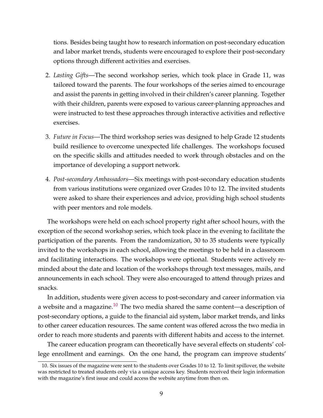tions. Besides being taught how to research information on post-secondary education and labor market trends, students were encouraged to explore their post-secondary options through different activities and exercises.

- 2. *Lasting Gifts*—The second workshop series, which took place in Grade 11, was tailored toward the parents. The four workshops of the series aimed to encourage and assist the parents in getting involved in their children's career planning. Together with their children, parents were exposed to various career-planning approaches and were instructed to test these approaches through interactive activities and reflective exercises.
- 3. *Future in Focus*—The third workshop series was designed to help Grade 12 students build resilience to overcome unexpected life challenges. The workshops focused on the specific skills and attitudes needed to work through obstacles and on the importance of developing a support network.
- 4. *Post-secondary Ambassadors*—Six meetings with post-secondary education students from various institutions were organized over Grades 10 to 12. The invited students were asked to share their experiences and advice, providing high school students with peer mentors and role models.

The workshops were held on each school property right after school hours, with the exception of the second workshop series, which took place in the evening to facilitate the participation of the parents. From the randomization, 30 to 35 students were typically invited to the workshops in each school, allowing the meetings to be held in a classroom and facilitating interactions. The workshops were optional. Students were actively reminded about the date and location of the workshops through text messages, mails, and announcements in each school. They were also encouraged to attend through prizes and snacks.

In addition, students were given access to post-secondary and career information via a website and a magazine.<sup>[10](#page-9-0)</sup> The two media shared the same content—a description of post-secondary options, a guide to the financial aid system, labor market trends, and links to other career education resources. The same content was offered across the two media in order to reach more students and parents with different habits and access to the internet.

The career education program can theoretically have several effects on students' college enrollment and earnings. On the one hand, the program can improve students'

<span id="page-9-0"></span><sup>10.</sup> Six issues of the magazine were sent to the students over Grades 10 to 12. To limit spillover, the website was restricted to treated students only via a unique access key. Students received their login information with the magazine's first issue and could access the website anytime from then on.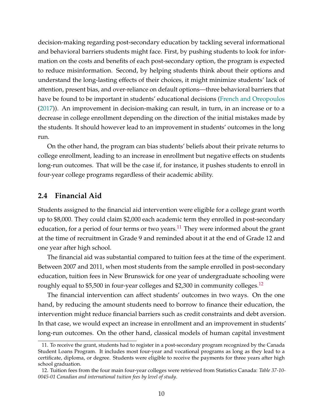decision-making regarding post-secondary education by tackling several informational and behavioral barriers students might face. First, by pushing students to look for information on the costs and benefits of each post-secondary option, the program is expected to reduce misinformation. Second, by helping students think about their options and understand the long-lasting effects of their choices, it might minimize students' lack of attention, present bias, and over-reliance on default options—three behavioral barriers that have be found to be important in students' educational decisions [\(French and Oreopoulos](#page-34-0) [\(2017\)](#page-34-0)). An improvement in decision-making can result, in turn, in an increase or to a decrease in college enrollment depending on the direction of the initial mistakes made by the students. It should however lead to an improvement in students' outcomes in the long run.

On the other hand, the program can bias students' beliefs about their private returns to college enrollment, leading to an increase in enrollment but negative effects on students long-run outcomes. That will be the case if, for instance, it pushes students to enroll in four-year college programs regardless of their academic ability.

### **2.4 Financial Aid**

Students assigned to the financial aid intervention were eligible for a college grant worth up to \$8,000. They could claim \$2,000 each academic term they enrolled in post-secondary education, for a period of four terms or two years.<sup>[11](#page-10-0)</sup> They were informed about the grant at the time of recruitment in Grade 9 and reminded about it at the end of Grade 12 and one year after high school.

The financial aid was substantial compared to tuition fees at the time of the experiment. Between 2007 and 2011, when most students from the sample enrolled in post-secondary education, tuition fees in New Brunswick for one year of undergraduate schooling were roughly equal to \$5,500 in four-year colleges and \$2,300 in community colleges.<sup>[12](#page-10-1)</sup>

The financial intervention can affect students' outcomes in two ways. On the one hand, by reducing the amount students need to borrow to finance their education, the intervention might reduce financial barriers such as credit constraints and debt aversion. In that case, we would expect an increase in enrollment and an improvement in students' long-run outcomes. On the other hand, classical models of human capital investment

<span id="page-10-0"></span><sup>11.</sup> To receive the grant, students had to register in a post-secondary program recognized by the Canada Student Loans Program. It includes most four-year and vocational programs as long as they lead to a certificate, diploma, or degree. Students were eligible to receive the payments for three years after high school graduation.

<span id="page-10-1"></span><sup>12.</sup> Tuition fees from the four main four-year colleges were retrieved from Statistics Canada: *Table 37-10- 0045-01 Canadian and international tuition fees by level of study*.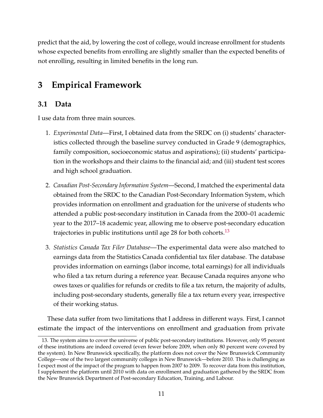predict that the aid, by lowering the cost of college, would increase enrollment for students whose expected benefits from enrolling are slightly smaller than the expected benefits of not enrolling, resulting in limited benefits in the long run.

# **3 Empirical Framework**

## **3.1 Data**

I use data from three main sources.

- 1. *Experimental Data*—First, I obtained data from the SRDC on (i) students' characteristics collected through the baseline survey conducted in Grade 9 (demographics, family composition, socioeconomic status and aspirations); (ii) students' participation in the workshops and their claims to the financial aid; and (iii) student test scores and high school graduation.
- 2. *Canadian Post-Secondary Information System*—Second, I matched the experimental data obtained from the SRDC to the Canadian Post-Secondary Information System, which provides information on enrollment and graduation for the universe of students who attended a public post-secondary institution in Canada from the 2000–01 academic year to the 2017–18 academic year, allowing me to observe post-secondary education trajectories in public institutions until age 28 for both cohorts.<sup>[13](#page-11-0)</sup>
- 3. *Statistics Canada Tax Filer Database*—The experimental data were also matched to earnings data from the Statistics Canada confidential tax filer database. The database provides information on earnings (labor income, total earnings) for all individuals who filed a tax return during a reference year. Because Canada requires anyone who owes taxes or qualifies for refunds or credits to file a tax return, the majority of adults, including post-secondary students, generally file a tax return every year, irrespective of their working status.

These data suffer from two limitations that I address in different ways. First, I cannot estimate the impact of the interventions on enrollment and graduation from private

<span id="page-11-0"></span><sup>13.</sup> The system aims to cover the universe of public post-secondary institutions. However, only 95 percent of these institutions are indeed covered (even fewer before 2009, when only 80 percent were covered by the system). In New Brunswick specifically, the platform does not cover the New Brunswick Community College—one of the two largest community colleges in New Brunswick—before 2010. This is challenging as I expect most of the impact of the program to happen from 2007 to 2009. To recover data from this institution, I supplement the platform until 2010 with data on enrollment and graduation gathered by the SRDC from the New Brunswick Department of Post-secondary Education, Training, and Labour.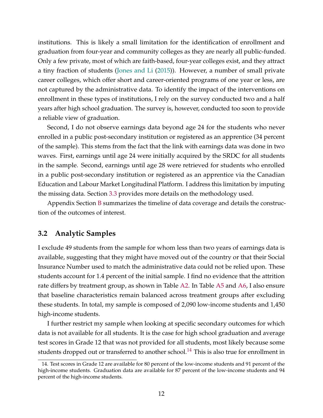institutions. This is likely a small limitation for the identification of enrollment and graduation from four-year and community colleges as they are nearly all public-funded. Only a few private, most of which are faith-based, four-year colleges exist, and they attract a tiny fraction of students [\(Jones and Li](#page-35-8) [\(2015\)](#page-35-8)). However, a number of small private career colleges, which offer short and career-oriented programs of one year or less, are not captured by the administrative data. To identify the impact of the interventions on enrollment in these types of institutions, I rely on the survey conducted two and a half years after high school graduation. The survey is, however, conducted too soon to provide a reliable view of graduation.

Second, I do not observe earnings data beyond age 24 for the students who never enrolled in a public post-secondary institution or registered as an apprentice (34 percent of the sample). This stems from the fact that the link with earnings data was done in two waves. First, earnings until age 24 were initially acquired by the SRDC for all students in the sample. Second, earnings until age 28 were retrieved for students who enrolled in a public post-secondary institution or registered as an apprentice via the Canadian Education and Labour Market Longitudinal Platform. I address this limitation by imputing the missing data. Section [3.3](#page-13-0) provides more details on the methodology used.

Appendix Section [B](#page-68-0) summarizes the timeline of data coverage and details the construction of the outcomes of interest.

### **3.2 Analytic Samples**

I exclude 49 students from the sample for whom less than two years of earnings data is available, suggesting that they might have moved out of the country or that their Social Insurance Number used to match the administrative data could not be relied upon. These students account for 1.4 percent of the initial sample. I find no evidence that the attrition rate differs by treatment group, as shown in Table [A2.](#page-37-1) In Table [A5](#page-40-0) and [A6,](#page-41-0) I also ensure that baseline characteristics remain balanced across treatment groups after excluding these students. In total, my sample is composed of 2,090 low-income students and 1,450 high-income students.

I further restrict my sample when looking at specific secondary outcomes for which data is not available for all students. It is the case for high school graduation and average test scores in Grade 12 that was not provided for all students, most likely because some students dropped out or transferred to another school.<sup>[14](#page-12-0)</sup> This is also true for enrollment in

<span id="page-12-0"></span><sup>14.</sup> Test scores in Grade 12 are available for 80 percent of the low-income students and 91 percent of the high-income students. Graduation data are available for 87 percent of the low-income students and 94 percent of the high-income students.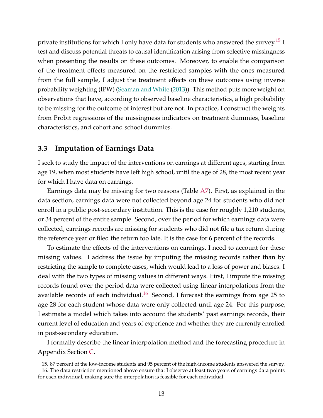private institutions for which I only have data for students who answered the survey.<sup>[15](#page-13-1)</sup> I test and discuss potential threats to causal identification arising from selective missingness when presenting the results on these outcomes. Moreover, to enable the comparison of the treatment effects measured on the restricted samples with the ones measured from the full sample, I adjust the treatment effects on these outcomes using inverse probability weighting (IPW) [\(Seaman and White](#page-36-1) [\(2013\)](#page-36-1)). This method puts more weight on observations that have, according to observed baseline characteristics, a high probability to be missing for the outcome of interest but are not. In practice, I construct the weights from Probit regressions of the missingness indicators on treatment dummies, baseline characteristics, and cohort and school dummies.

### <span id="page-13-0"></span>**3.3 Imputation of Earnings Data**

I seek to study the impact of the interventions on earnings at different ages, starting from age 19, when most students have left high school, until the age of 28, the most recent year for which I have data on earnings.

Earnings data may be missing for two reasons (Table [A7\)](#page-42-0). First, as explained in the data section, earnings data were not collected beyond age 24 for students who did not enroll in a public post-secondary institution. This is the case for roughly 1,210 students, or 34 percent of the entire sample. Second, over the period for which earnings data were collected, earnings records are missing for students who did not file a tax return during the reference year or filed the return too late. It is the case for 6 percent of the records.

To estimate the effects of the interventions on earnings, I need to account for these missing values. I address the issue by imputing the missing records rather than by restricting the sample to complete cases, which would lead to a loss of power and biases. I deal with the two types of missing values in different ways. First, I impute the missing records found over the period data were collected using linear interpolations from the available records of each individual.<sup>[16](#page-13-2)</sup> Second, I forecast the earnings from age 25 to age 28 for each student whose data were only collected until age 24. For this purpose, I estimate a model which takes into account the students' past earnings records, their current level of education and years of experience and whether they are currently enrolled in post-secondary education.

I formally describe the linear interpolation method and the forecasting procedure in Appendix Section [C.](#page-72-0)

<span id="page-13-2"></span><span id="page-13-1"></span><sup>15.</sup> 87 percent of the low-income students and 95 percent of the high-income students answered the survey. 16. The data restriction mentioned above ensure that I observe at least two years of earnings data points for each individual, making sure the interpolation is feasible for each individual.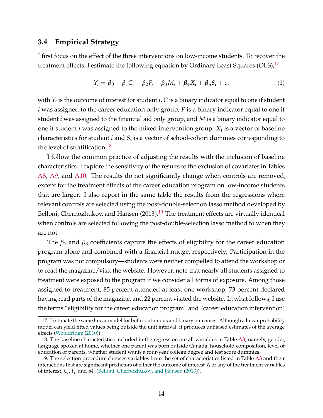### **3.4 Empirical Strategy**

I first focus on the effect of the three interventions on low-income students. To recover the treatment effects, I estimate the following equation by Ordinary Least Squares (OLS),  $17$ 

<span id="page-14-3"></span>
$$
Y_i = \beta_0 + \beta_1 C_i + \beta_2 F_i + \beta_3 M_i + \beta_4 X_i + \beta_5 S_i + \epsilon_i
$$
\n(1)

with  $Y_i$  is the outcome of interest for student  $i$ ,  $C$  is a binary indicator equal to one if student *i* was assigned to the career education only group, *F* is a binary indicator equal to one if student *i* was assigned to the financial aid only group, and *M* is a binary indicator equal to one if student *i* was assigned to the mixed intervention group. *X<sup>i</sup>* is a vector of baseline characteristics for student *i* and *S<sup>i</sup>* is a vector of school-cohort dummies corresponding to the level of stratification.<sup>[18](#page-14-1)</sup>

I follow the common practice of adjusting the results with the inclusion of baseline characteristics. I explore the sensitivity of the results to the exclusion of covariates in Tables [A8,](#page-43-0) [A9,](#page-44-0) and [A10.](#page-45-0) The results do not significantly change when controls are removed, except for the treatment effects of the career education program on low-income students that are larger. I also report in the same table the results from the regressions where relevant controls are selected using the post-double-selection lasso method developed by Belloni, Chernozhukov, and Hansen  $(2013).<sup>19</sup>$  $(2013).<sup>19</sup>$  $(2013).<sup>19</sup>$  The treatment effects are virtually identical when controls are selected following the post-double-selection lasso method to when they are not.

The *β*<sup>1</sup> and *β*<sup>3</sup> coefficients capture the effects of eligibility for the career education program alone and combined with a financial nudge, respectively. Participation in the program was not compulsory—students were neither compelled to attend the workshop or to read the magazine/visit the website. However, note that nearly all students assigned to treatment were exposed to the program if we consider all forms of exposure. Among those assigned to treatment, 85 percent attended at least one workshop, 73 percent declared having read parts of the magazine, and 22 percent visited the website. In what follows, I use the terms "eligibility for the career education program" and "career education intervention"

<span id="page-14-0"></span><sup>17.</sup> I estimate the same linear model for both continuous and binary outcomes. Although a linear probability model can yield fitted values being outside the unit interval, it produces unbiased estimates of the average effects [\(Wooldridge](#page-36-2) [\(2010\)](#page-36-2)).

<span id="page-14-1"></span><sup>18.</sup> The baseline characteristics included in the regression are all variables in Table [A3,](#page-38-0) namely, gender, language spoken at home, whether one parent was born outside Canada, household composition, level of education of parents, whether student wants a four-year college degree and test score dummies.

<span id="page-14-2"></span><sup>19.</sup> The selection procedure chooses variables from the set of characteristics listed in Table [A3](#page-38-0) and their interactions that are significant predictors of either the outcome of interest *Y<sup>i</sup>* or any of the treatment variables of interest, *C<sup>i</sup>* , *F<sup>i</sup>* , and *M<sup>i</sup>* [\(Belloni, Chernozhukov, and Hansen](#page-32-6) [\(2013\)](#page-32-6)).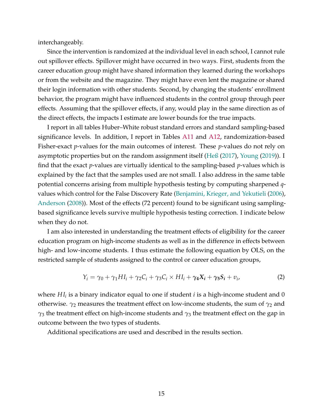interchangeably.

Since the intervention is randomized at the individual level in each school, I cannot rule out spillover effects. Spillover might have occurred in two ways. First, students from the career education group might have shared information they learned during the workshops or from the website and the magazine. They might have even lent the magazine or shared their login information with other students. Second, by changing the students' enrollment behavior, the program might have influenced students in the control group through peer effects. Assuming that the spillover effects, if any, would play in the same direction as of the direct effects, the impacts I estimate are lower bounds for the true impacts.

I report in all tables Huber–White robust standard errors and standard sampling-based significance levels. In addition, I report in Tables [A11](#page-46-0) and [A12,](#page-47-0) randomization-based Fisher-exact *p*-values for the main outcomes of interest. These *p*-values do not rely on asymptotic properties but on the random assignment itself [\(Heß](#page-35-9) [\(2017\)](#page-35-9), [Young](#page-36-3) [\(2019\)](#page-36-3)). I find that the exact *p*-values are virtually identical to the sampling-based *p*-values which is explained by the fact that the samples used are not small. I also address in the same table potential concerns arising from multiple hypothesis testing by computing sharpened *q*values which control for the False Discovery Rate [\(Benjamini, Krieger, and Yekutieli](#page-32-7) [\(2006\)](#page-32-7), [Anderson](#page-32-8) [\(2008\)](#page-32-8)). Most of the effects (72 percent) found to be significant using samplingbased significance levels survive multiple hypothesis testing correction. I indicate below when they do not.

I am also interested in understanding the treatment effects of eligibility for the career education program on high-income students as well as in the difference in effects between high- and low-income students. I thus estimate the following equation by OLS, on the restricted sample of students assigned to the control or career education groups,

<span id="page-15-0"></span>
$$
Y_i = \gamma_0 + \gamma_1 H I_i + \gamma_2 C_i + \gamma_3 C_i \times H I_i + \gamma_4 X_i + \gamma_5 S_i + v_i,
$$
\n(2)

where *H I<sup>i</sup>* is a binary indicator equal to one if student *i* is a high-income student and 0 otherwise.  $\gamma_2$  measures the treatment effect on low-income students, the sum of  $\gamma_2$  and *γ*<sup>3</sup> the treatment effect on high-income students and *γ*<sup>3</sup> the treatment effect on the gap in outcome between the two types of students.

Additional specifications are used and described in the results section.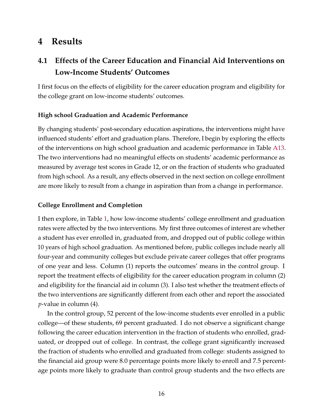# **4 Results**

# **4.1 Effects of the Career Education and Financial Aid Interventions on Low-Income Students' Outcomes**

I first focus on the effects of eligibility for the career education program and eligibility for the college grant on low-income students' outcomes.

### **High school Graduation and Academic Performance**

By changing students' post-secondary education aspirations, the interventions might have influenced students' effort and graduation plans. Therefore, I begin by exploring the effects of the interventions on high school graduation and academic performance in Table [A13.](#page-48-0) The two interventions had no meaningful effects on students' academic performance as measured by average test scores in Grade 12, or on the fraction of students who graduated from high school. As a result, any effects observed in the next section on college enrollment are more likely to result from a change in aspiration than from a change in performance.

### **College Enrollment and Completion**

I then explore, in Table [1,](#page-17-0) how low-income students' college enrollment and graduation rates were affected by the two interventions. My first three outcomes of interest are whether a student has ever enrolled in, graduated from, and dropped out of public college within 10 years of high school graduation. As mentioned before, public colleges include nearly all four-year and community colleges but exclude private career colleges that offer programs of one year and less. Column (1) reports the outcomes' means in the control group. I report the treatment effects of eligibility for the career education program in column (2) and eligibility for the financial aid in column (3). I also test whether the treatment effects of the two interventions are significantly different from each other and report the associated *p*-value in column (4).

In the control group, 52 percent of the low-income students ever enrolled in a public college—of these students, 69 percent graduated. I do not observe a significant change following the career education intervention in the fraction of students who enrolled, graduated, or dropped out of college. In contrast, the college grant significantly increased the fraction of students who enrolled and graduated from college: students assigned to the financial aid group were 8.0 percentage points more likely to enroll and 7.5 percentage points more likely to graduate than control group students and the two effects are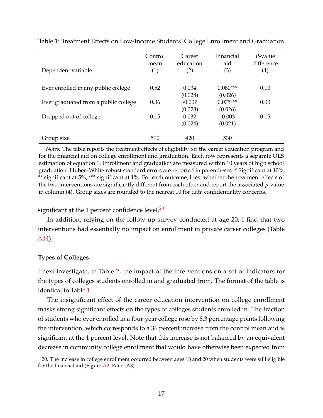| Dependent variable                   | Control<br>mean<br>(1) | Career<br>education<br>(2) | Financial<br>aid<br>(3) | $P$ -value<br>difference<br>$\left( 4\right)$ |
|--------------------------------------|------------------------|----------------------------|-------------------------|-----------------------------------------------|
| Ever enrolled in any public college  | 0.52                   | 0.034<br>(0.028)           | $0.080***$<br>(0.026)   | 0.10                                          |
| Ever graduated from a public college | 0.36                   | $-0.007$<br>(0.028)        | $0.075***$<br>(0.026)   | 0.00                                          |
| Dropped out of college               | 0.15                   | 0.032<br>(0.024)           | $-0.003$<br>(0.021)     | 0.15                                          |
| Group size                           | 590                    | 420                        | 530                     |                                               |

<span id="page-17-0"></span>Table 1: Treatment Effects on Low-Income Students' College Enrollment and Graduation

*Notes:* The table reports the treatment effects of eligibility for the career education program and for the financial aid on college enrollment and graduation. Each row represents a separate OLS estimation of equation [1.](#page-14-3) Enrollment and graduation are measured within 10 years of high school graduation. Huber–White robust standard errors are reported in parentheses. \* Significant at 10%, \*\* significant at 5%, \*\*\* significant at 1%. For each outcome, I test whether the treatment effects of the two interventions are significantly different from each other and report the associated *p*-value in column (4). Group sizes are rounded to the nearest 10 for data confidentiality concerns.

significant at the 1 percent confidence level. $^{20}$  $^{20}$  $^{20}$ 

In addition, relying on the follow-up survey conducted at age 20, I find that two interventions had essentially no impact on enrollment in private career colleges (Table [A14\)](#page-49-0).

### **Types of Colleges**

I next investigate, in Table [2,](#page-18-0) the impact of the interventions on a set of indicators for the types of colleges students enrolled in and graduated from. The format of the table is identical to Table [1.](#page-17-0)

The insignificant effect of the career education intervention on college enrollment masks strong significant effects on the types of colleges students enrolled in. The fraction of students who ever enrolled in a four-year college rose by 8.3 percentage points following the intervention, which corresponds to a 36 percent increase from the control mean and is significant at the 1 percent level. Note that this increase is not balanced by an equivalent decrease in community college enrollment that would have otherwise been expected from

<span id="page-17-1"></span><sup>20.</sup> The increase in college enrollment occurred between ages 18 and 20 when students were still eligible for the financial aid (Figure [A2–](#page-51-0)Panel A3).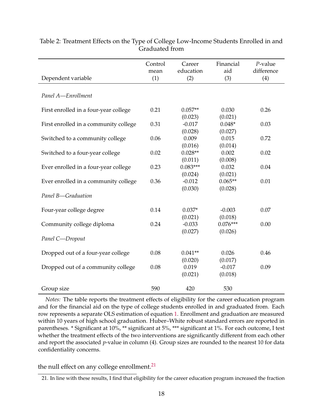|                                       | Control | Career     | Financial  | $P$ -value |
|---------------------------------------|---------|------------|------------|------------|
|                                       | mean    | education  | aid        | difference |
| Dependent variable                    | (1)     | (2)        | (3)        | (4)        |
|                                       |         |            |            |            |
| Panel A-Enrollment                    |         |            |            |            |
|                                       |         |            |            |            |
| First enrolled in a four-year college | 0.21    | $0.057**$  | 0.030      | 0.26       |
|                                       |         | (0.023)    | (0.021)    |            |
| First enrolled in a community college | 0.31    | $-0.017$   | $0.048*$   | 0.03       |
|                                       |         | (0.028)    | (0.027)    |            |
| Switched to a community college       | 0.06    | 0.009      | 0.015      | 0.72       |
|                                       |         | (0.016)    | (0.014)    |            |
| Switched to a four-year college       | 0.02    | $0.028**$  | 0.002      | 0.02       |
|                                       |         | (0.011)    | (0.008)    |            |
| Ever enrolled in a four-year college  | 0.23    | $0.083***$ | 0.032      | 0.04       |
|                                       |         | (0.024)    | (0.021)    |            |
| Ever enrolled in a community college  | 0.36    | $-0.012$   | $0.065**$  | 0.01       |
|                                       |         | (0.030)    | (0.028)    |            |
| Panel B-Graduation                    |         |            |            |            |
|                                       |         |            |            |            |
| Four-year college degree              | 0.14    | $0.037*$   | $-0.003$   | 0.07       |
|                                       |         | (0.021)    | (0.018)    |            |
| Community college diploma             | 0.24    | $-0.033$   | $0.076***$ | 0.00       |
|                                       |         | (0.027)    | (0.026)    |            |
| Panel C-Dropout                       |         |            |            |            |
| Dropped out of a four-year college    | 0.08    | $0.041**$  | 0.026      | 0.46       |
|                                       |         | (0.020)    | (0.017)    |            |
| Dropped out of a community college    | 0.08    | 0.019      | $-0.017$   | 0.09       |
|                                       |         | (0.021)    | (0.018)    |            |
|                                       |         |            |            |            |
| Group size                            | 590     | 420        | 530        |            |
|                                       |         |            |            |            |

<span id="page-18-0"></span>Table 2: Treatment Effects on the Type of College Low-Income Students Enrolled in and Graduated from

*Notes:* The table reports the treatment effects of eligibility for the career education program and for the financial aid on the type of college students enrolled in and graduated from. Each row represents a separate OLS estimation of equation [1.](#page-14-3) Enrollment and graduation are measured within 10 years of high school graduation. Huber–White robust standard errors are reported in parentheses. \* Significant at 10%, \*\* significant at 5%, \*\*\* significant at 1%. For each outcome, I test whether the treatment effects of the two interventions are significantly different from each other and report the associated *p*-value in column (4). Group sizes are rounded to the nearest 10 for data confidentiality concerns.

### the null effect on any college enrollment.<sup>[21](#page-18-1)</sup>

<span id="page-18-1"></span><sup>21.</sup> In line with these results, I find that eligibility for the career education program increased the fraction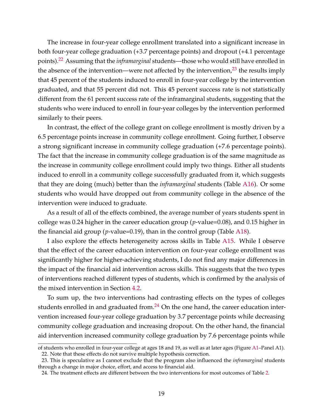The increase in four-year college enrollment translated into a significant increase in both four-year college graduation (+3.7 percentage points) and dropout (+4.1 percentage points).[22](#page-19-0) Assuming that the *inframarginal* students—those who would still have enrolled in the absence of the intervention—were not affected by the intervention, $^{23}$  $^{23}$  $^{23}$  the results imply that 45 percent of the students induced to enroll in four-year college by the intervention graduated, and that 55 percent did not. This 45 percent success rate is not statistically different from the 61 percent success rate of the inframarginal students, suggesting that the students who were induced to enroll in four-year colleges by the intervention performed similarly to their peers.

In contrast, the effect of the college grant on college enrollment is mostly driven by a 6.5 percentage points increase in community college enrollment. Going further, I observe a strong significant increase in community college graduation (+7.6 percentage points). The fact that the increase in community college graduation is of the same magnitude as the increase in community college enrollment could imply two things. Either all students induced to enroll in a community college successfully graduated from it, which suggests that they are doing (much) better than the *inframarginal* students (Table [A16\)](#page-53-0). Or some students who would have dropped out from community college in the absence of the intervention were induced to graduate.

As a result of all of the effects combined, the average number of years students spent in college was 0.24 higher in the career education group (*p*-value=0.08), and 0.15 higher in the financial aid group (*p*-value=0.19), than in the control group (Table [A18\)](#page-55-0).

I also explore the effects heterogeneity across skills in Table [A15.](#page-52-0) While I observe that the effect of the career education intervention on four-year college enrollment was significantly higher for higher-achieving students, I do not find any major differences in the impact of the financial aid intervention across skills. This suggests that the two types of interventions reached different types of students, which is confirmed by the analysis of the mixed intervention in Section [4.2.](#page-22-0)

To sum up, the two interventions had contrasting effects on the types of colleges students enrolled in and graduated from. $24$  On the one hand, the career education intervention increased four-year college graduation by 3.7 percentage points while decreasing community college graduation and increasing dropout. On the other hand, the financial aid intervention increased community college graduation by 7.6 percentage points while

<span id="page-19-0"></span>of students who enrolled in four-year college at ages 18 and 19, as well as at later ages (Figure [A1–](#page-50-0)Panel A1). 22. Note that these effects do not survive multiple hypothesis correction.

<span id="page-19-1"></span><sup>23.</sup> This is speculative as I cannot exclude that the program also influenced the *inframarginal* students through a change in major choice, effort, and access to financial aid.

<span id="page-19-2"></span><sup>24.</sup> The treatment effects are different between the two interventions for most outcomes of Table [2.](#page-18-0)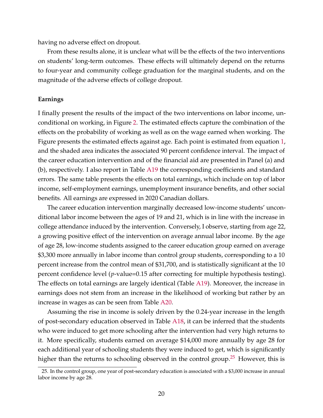having no adverse effect on dropout.

From these results alone, it is unclear what will be the effects of the two interventions on students' long-term outcomes. These effects will ultimately depend on the returns to four-year and community college graduation for the marginal students, and on the magnitude of the adverse effects of college dropout.

#### **Earnings**

I finally present the results of the impact of the two interventions on labor income, unconditional on working, in Figure [2.](#page-21-0) The estimated effects capture the combination of the effects on the probability of working as well as on the wage earned when working. The Figure presents the estimated effects against age. Each point is estimated from equation [1,](#page-14-3) and the shaded area indicates the associated 90 percent confidence interval. The impact of the career education intervention and of the financial aid are presented in Panel (a) and (b), respectively. I also report in Table [A19](#page-56-0) the corresponding coefficients and standard errors. The same table presents the effects on total earnings, which include on top of labor income, self-employment earnings, unemployment insurance benefits, and other social benefits. All earnings are expressed in 2020 Canadian dollars.

The career education intervention marginally decreased low-income students' unconditional labor income between the ages of 19 and 21, which is in line with the increase in college attendance induced by the intervention. Conversely, I observe, starting from age 22, a growing positive effect of the intervention on average annual labor income. By the age of age 28, low-income students assigned to the career education group earned on average \$3,300 more annually in labor income than control group students, corresponding to a 10 percent increase from the control mean of \$31,700, and is statistically significant at the 10 percent confidence level (*p*-value=0.15 after correcting for multiple hypothesis testing). The effects on total earnings are largely identical (Table [A19\)](#page-56-0). Moreover, the increase in earnings does not stem from an increase in the likelihood of working but rather by an increase in wages as can be seen from Table [A20.](#page-57-0)

Assuming the rise in income is solely driven by the 0.24-year increase in the length of post-secondary education observed in Table [A18,](#page-55-0) it can be inferred that the students who were induced to get more schooling after the intervention had very high returns to it. More specifically, students earned on average \$14,000 more annually by age 28 for each additional year of schooling students they were induced to get, which is significantly higher than the returns to schooling observed in the control group.<sup>[25](#page-20-0)</sup> However, this is

<span id="page-20-0"></span><sup>25.</sup> In the control group, one year of post-secondary education is associated with a \$3,000 increase in annual labor income by age 28.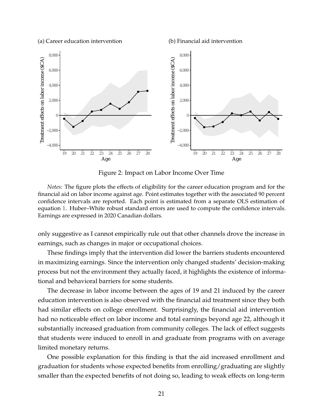<span id="page-21-0"></span>(a) Career education intervention

(b) Financial aid intervention



Figure 2: Impact on Labor Income Over Time

*Notes:* The figure plots the effects of eligibility for the career education program and for the financial aid on labor income against age. Point estimates together with the associated 90 percent confidence intervals are reported. Each point is estimated from a separate OLS estimation of equation [1.](#page-14-3) Huber–White robust standard errors are used to compute the confidence intervals. Earnings are expressed in 2020 Canadian dollars.

only suggestive as I cannot empirically rule out that other channels drove the increase in earnings, such as changes in major or occupational choices.

These findings imply that the intervention did lower the barriers students encountered in maximizing earnings. Since the intervention only changed students' decision-making process but not the environment they actually faced, it highlights the existence of informational and behavioral barriers for some students.

The decrease in labor income between the ages of 19 and 21 induced by the career education intervention is also observed with the financial aid treatment since they both had similar effects on college enrollment. Surprisingly, the financial aid intervention had no noticeable effect on labor income and total earnings beyond age 22, although it substantially increased graduation from community colleges. The lack of effect suggests that students were induced to enroll in and graduate from programs with on average limited monetary returns.

One possible explanation for this finding is that the aid increased enrollment and graduation for students whose expected benefits from enrolling/graduating are slightly smaller than the expected benefits of not doing so, leading to weak effects on long-term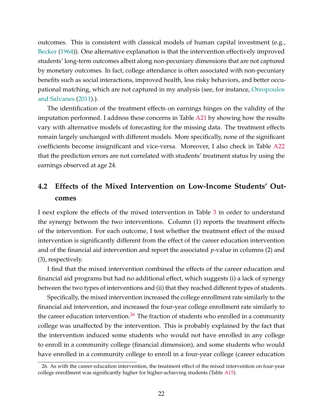outcomes. This is consistent with classical models of human capital investment (e.g., [Becker](#page-32-2) [\(1964\)](#page-32-2)). One alternative explanation is that the intervention effectively improved students' long-term outcomes albeit along non-pecuniary dimensions that are not captured by monetary outcomes. In fact, college attendance is often associated with non-pecuniary benefits such as social interactions, improved health, less risky behaviors, and better occupational matching, which are not captured in my analysis (see, for instance, [Oreopoulos](#page-35-10) [and Salvanes](#page-35-10) [\(2011\)](#page-35-10).).

The identification of the treatment effects on earnings hinges on the validity of the imputation performed. I address these concerns in Table [A21](#page-58-0) by showing how the results vary with alternative models of forecasting for the missing data. The treatment effects remain largely unchanged with different models. More specifically, none of the significant coefficients become insignificant and vice-versa. Moreover, I also check in Table [A22](#page-59-0) that the prediction errors are not correlated with students' treatment status by using the earnings observed at age 24.

# <span id="page-22-0"></span>**4.2 Effects of the Mixed Intervention on Low-Income Students' Outcomes**

I next explore the effects of the mixed intervention in Table [3](#page-23-0) in order to understand the synergy between the two interventions. Column (1) reports the treatment effects of the intervention. For each outcome, I test whether the treatment effect of the mixed intervention is significantly different from the effect of the career education intervention and of the financial aid intervention and report the associated *p*-value in columns (2) and (3), respectively.

I find that the mixed intervention combined the effects of the career education and financial aid programs but had no additional effect, which suggests (i) a lack of synergy between the two types of interventions and (ii) that they reached different types of students.

Specifically, the mixed intervention increased the college enrollment rate similarly to the financial aid intervention, and increased the four-year college enrollment rate similarly to the career education intervention.<sup>[26](#page-22-1)</sup> The fraction of students who enrolled in a community college was unaffected by the intervention. This is probably explained by the fact that the intervention induced some students who would not have enrolled in any college to enroll in a community college (financial dimension), and some students who would have enrolled in a community college to enroll in a four-year college (career education

<span id="page-22-1"></span><sup>26.</sup> As with the career education intervention, the treatment effect of the mixed intervention on four-year college enrollment was significantly higher for higher-achieving students (Table [A15\)](#page-52-0).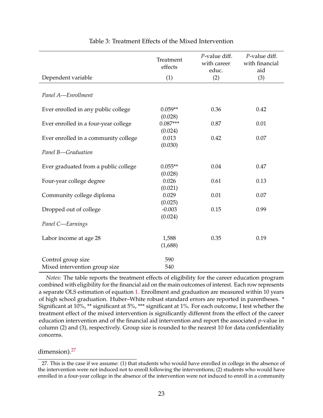<span id="page-23-0"></span>

|                                      | Treatment<br>effects  | P-value diff.<br>with career<br>educ. | P-value diff.<br>with financial<br>aid |
|--------------------------------------|-----------------------|---------------------------------------|----------------------------------------|
| Dependent variable                   | (1)                   | (2)                                   | (3)                                    |
| Panel A-Enrollment                   |                       |                                       |                                        |
| Ever enrolled in any public college  | $0.059**$<br>(0.028)  | 0.36                                  | 0.42                                   |
| Ever enrolled in a four-year college | $0.087***$<br>(0.024) | 0.87                                  | 0.01                                   |
| Ever enrolled in a community college | 0.013<br>(0.030)      | 0.42                                  | 0.07                                   |
| Panel B-Graduation                   |                       |                                       |                                        |
| Ever graduated from a public college | $0.055**$<br>(0.028)  | 0.04                                  | 0.47                                   |
| Four-year college degree             | 0.026<br>(0.021)      | 0.61                                  | 0.13                                   |
| Community college diploma            | 0.029<br>(0.025)      | 0.01                                  | 0.07                                   |
| Dropped out of college               | $-0.003$<br>(0.024)   | 0.15                                  | 0.99                                   |
| Panel C-Earnings                     |                       |                                       |                                        |
| Labor income at age 28               | 1,588<br>(1,688)      | 0.35                                  | 0.19                                   |
| Control group size                   | 590                   |                                       |                                        |
| Mixed intervention group size        | 540                   |                                       |                                        |

### Table 3: Treatment Effects of the Mixed Intervention

*Notes:* The table reports the treatment effects of eligibility for the career education program combined with eligibility for the financial aid on the main outcomes of interest. Each row represents a separate OLS estimation of equation [1.](#page-14-3) Enrollment and graduation are measured within 10 years of high school graduation. Huber–White robust standard errors are reported in parentheses. \* Significant at 10%, \*\* significant at 5%, \*\*\* significant at 1%. For each outcome, I test whether the treatment effect of the mixed intervention is significantly different from the effect of the career education intervention and of the financial aid intervention and report the associated *p*-value in column (2) and (3), respectively. Group size is rounded to the nearest 10 for data confidentiality concerns.

dimension).<sup>[27](#page-23-1)</sup>

<span id="page-23-1"></span><sup>27.</sup> This is the case if we assume: (1) that students who would have enrolled in college in the absence of the intervention were not induced not to enroll following the interventions; (2) students who would have enrolled in a four-year college in the absence of the intervention were not induced to enroll in a community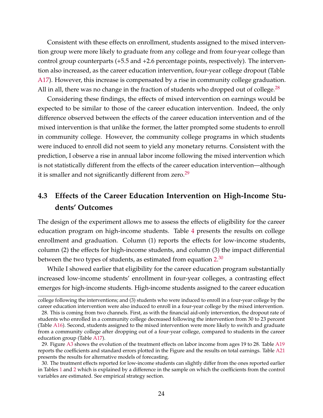Consistent with these effects on enrollment, students assigned to the mixed intervention group were more likely to graduate from any college and from four-year college than control group counterparts (+5.5 and +2.6 percentage points, respectively). The intervention also increased, as the career education intervention, four-year college dropout (Table [A17\)](#page-54-0). However, this increase is compensated by a rise in community college graduation. All in all, there was no change in the fraction of students who dropped out of college.<sup>[28](#page-24-0)</sup>

Considering these findings, the effects of mixed intervention on earnings would be expected to be similar to those of the career education intervention. Indeed, the only difference observed between the effects of the career education intervention and of the mixed intervention is that unlike the former, the latter prompted some students to enroll in community college. However, the community college programs in which students were induced to enroll did not seem to yield any monetary returns. Consistent with the prediction, I observe a rise in annual labor income following the mixed intervention which is not statistically different from the effects of the career education intervention—although it is smaller and not significantly different from zero.<sup>[29](#page-24-1)</sup>

# **4.3 Effects of the Career Education Intervention on High-Income Students' Outcomes**

The design of the experiment allows me to assess the effects of eligibility for the career education program on high-income students. Table [4](#page-25-0) presents the results on college enrollment and graduation. Column (1) reports the effects for low-income students, column (2) the effects for high-income students, and column (3) the impact differential between the two types of students, as estimated from equation [2.](#page-15-0) $^{\rm 30}$  $^{\rm 30}$  $^{\rm 30}$ 

While I showed earlier that eligibility for the career education program substantially increased low-income students' enrollment in four-year colleges, a contrasting effect emerges for high-income students. High-income students assigned to the career education

college following the interventions; and (3) students who were induced to enroll in a four-year college by the career education intervention were also induced to enroll in a four-year college by the mixed intervention.

<span id="page-24-0"></span><sup>28.</sup> This is coming from two channels. First, as with the financial aid-only intervention, the dropout rate of students who enrolled in a community college decreased following the intervention from 30 to 23 percent (Table [A16\)](#page-53-0). Second, students assigned to the mixed intervention were more likely to switch and graduate from a community college after dropping out of a four-year college, compared to students in the career education group (Table [A17\)](#page-54-0).

<span id="page-24-1"></span><sup>29.</sup> Figure [A3](#page-60-0) shows the evolution of the treatment effects on labor income from ages 19 to 28. Table [A19](#page-56-0) reports the coefficients and standard errors plotted in the Figure and the results on total earnings. Table [A21](#page-58-0) presents the results for alternative models of forecasting.

<span id="page-24-2"></span><sup>30.</sup> The treatment effects reported for low-income students can slightly differ from the ones reported earlier in Tables [1](#page-17-0) and [2](#page-18-0) which is explained by a difference in the sample on which the coefficients from the control variables are estimated. See empirical strategy section.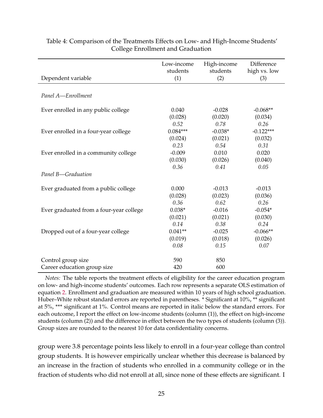|                                         | Low-income<br>students | High-income<br>students | Difference<br>high vs. low |
|-----------------------------------------|------------------------|-------------------------|----------------------------|
| Dependent variable                      | (1)                    | (2)                     | (3)                        |
|                                         |                        |                         |                            |
| Panel A-Enrollment                      |                        |                         |                            |
| Ever enrolled in any public college     | 0.040                  | $-0.028$                | $-0.068**$                 |
|                                         | (0.028)                | (0.020)                 | (0.034)                    |
|                                         | 0.52                   | 0.78                    | 0.26                       |
| Ever enrolled in a four-year college    | $0.084***$             | $-0.038*$               | $-0.122***$                |
|                                         | (0.024)                | (0.021)                 | (0.032)                    |
|                                         | 0.23                   | 0.54                    | 0.31                       |
| Ever enrolled in a community college    | $-0.009$               | 0.010                   | 0.020                      |
|                                         | (0.030)                | (0.026)                 | (0.040)                    |
|                                         | 0.36                   | 0.41                    | 0.05                       |
| Panel B-Graduation                      |                        |                         |                            |
| Ever graduated from a public college    | 0.000                  | $-0.013$                | $-0.013$                   |
|                                         | (0.028)                | (0.023)                 | (0.036)                    |
|                                         | 0.36                   | 0.62                    | 0.26                       |
| Ever graduated from a four-year college | $0.038*$               | $-0.016$                | $-0.054*$                  |
|                                         | (0.021)                | (0.021)                 | (0.030)                    |
|                                         | 0.14                   | 0.38                    | 0.24                       |
| Dropped out of a four-year college      | $0.041**$              | $-0.025$                | $-0.066**$                 |
|                                         | (0.019)                | (0.018)                 | (0.026)                    |
|                                         | 0.08                   | 0.15                    | 0.07                       |
| Control group size                      | 590                    | 850                     |                            |
| Career education group size             | 420                    | 600                     |                            |

### <span id="page-25-0"></span>Table 4: Comparison of the Treatments Effects on Low- and High-Income Students' College Enrollment and Graduation

*Notes:* The table reports the treatment effects of eligibility for the career education program on low- and high-income students' outcomes. Each row represents a separate OLS estimation of equation [2.](#page-15-0) Enrollment and graduation are measured within 10 years of high school graduation. Huber–White robust standard errors are reported in parentheses. \* Significant at 10%, \*\* significant at 5%, \*\*\* significant at 1%. Control means are reported in italic below the standard errors. For each outcome, I report the effect on low-income students (column (1)), the effect on high-income students (column (2)) and the difference in effect between the two types of students (column (3)). Group sizes are rounded to the nearest 10 for data confidentiality concerns.

group were 3.8 percentage points less likely to enroll in a four-year college than control group students. It is however empirically unclear whether this decrease is balanced by an increase in the fraction of students who enrolled in a community college or in the fraction of students who did not enroll at all, since none of these effects are significant. I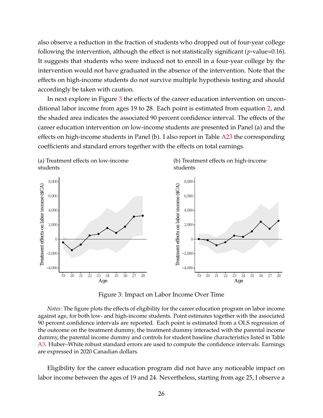also observe a reduction in the fraction of students who dropped out of four-year college following the intervention, although the effect is not statistically significant (*p*-value=0.16). It suggests that students who were induced not to enroll in a four-year college by the intervention would not have graduated in the absence of the intervention. Note that the effects on high-income students do not survive multiple hypothesis testing and should accordingly be taken with caution.

In next explore in Figure [3](#page-26-0) the effects of the career education intervention on unconditional labor income from ages 19 to 28. Each point is estimated from equation [2,](#page-15-0) and the shaded area indicates the associated 90 percent confidence interval. The effects of the career education intervention on low-income students are presented in Panel (a) and the effects on high-income students in Panel (b). I also report in Table [A23](#page-61-0) the corresponding coefficients and standard errors together with the effects on total earnings.

<span id="page-26-0"></span>

Figure 3: Impact on Labor Income Over Time

*Notes:* The figure plots the effects of eligibility for the career education program on labor income against age, for both low- and high-income students. Point estimates together with the associated 90 percent confidence intervals are reported. Each point is estimated from a OLS regression of the outcome on the treatment dummy, the treatment dummy interacted with the parental income dummy, the parental income dummy and controls for student baseline characteristics listed in Table [A3.](#page-38-0) Huber–White robust standard errors are used to compute the confidence intervals. Earnings are expressed in 2020 Canadian dollars.

Eligibility for the career education program did not have any noticeable impact on labor income between the ages of 19 and 24. Nevertheless, starting from age 25, I observe a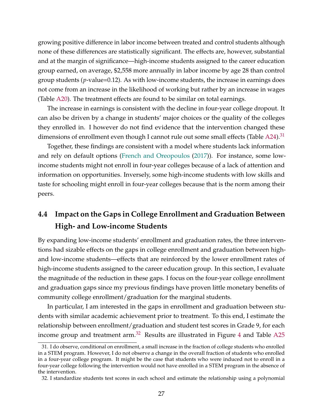growing positive difference in labor income between treated and control students although none of these differences are statistically significant. The effects are, however, substantial and at the margin of significance—high-income students assigned to the career education group earned, on average, \$2,558 more annually in labor income by age 28 than control group students (*p*-value=0.12). As with low-income students, the increase in earnings does not come from an increase in the likelihood of working but rather by an increase in wages (Table [A20\)](#page-57-0). The treatment effects are found to be similar on total earnings.

The increase in earnings is consistent with the decline in four-year college dropout. It can also be driven by a change in students' major choices or the quality of the colleges they enrolled in. I however do not find evidence that the intervention changed these dimensions of enrollment even though I cannot rule out some small effects (Table  $A24$ ).<sup>[31](#page-27-0)</sup>

Together, these findings are consistent with a model where students lack information and rely on default options [\(French and Oreopoulos](#page-34-0) [\(2017\)](#page-34-0)). For instance, some lowincome students might not enroll in four-year colleges because of a lack of attention and information on opportunities. Inversely, some high-income students with low skills and taste for schooling might enroll in four-year colleges because that is the norm among their peers.

# **4.4 Impact on the Gaps in College Enrollment and Graduation Between High- and Low-income Students**

By expanding low-income students' enrollment and graduation rates, the three interventions had sizable effects on the gaps in college enrollment and graduation between highand low-income students—effects that are reinforced by the lower enrollment rates of high-income students assigned to the career education group. In this section, I evaluate the magnitude of the reduction in these gaps. I focus on the four-year college enrollment and graduation gaps since my previous findings have proven little monetary benefits of community college enrollment/graduation for the marginal students.

In particular, I am interested in the gaps in enrollment and graduation between students with similar academic achievement prior to treatment. To this end, I estimate the relationship between enrollment/graduation and student test scores in Grade 9, for each income group and treatment arm. $32$  Results are illustrated in Figure [4](#page-29-0) and Table [A25](#page-64-0)

<span id="page-27-0"></span><sup>31.</sup> I do observe, conditional on enrollment, a small increase in the fraction of college students who enrolled in a STEM program. However, I do not observe a change in the overall fraction of students who enrolled in a four-year college program. It might be the case that students who were induced not to enroll in a four-year college following the intervention would not have enrolled in a STEM program in the absence of the intervention.

<span id="page-27-1"></span><sup>32.</sup> I standardize students test scores in each school and estimate the relationship using a polynomial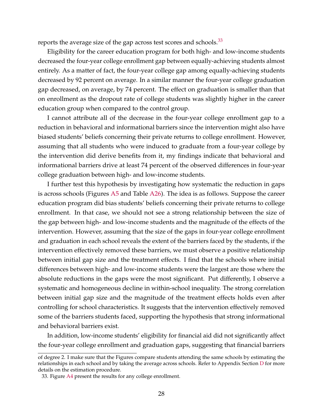reports the average size of the gap across test scores and schools. $33$ 

Eligibility for the career education program for both high- and low-income students decreased the four-year college enrollment gap between equally-achieving students almost entirely. As a matter of fact, the four-year college gap among equally-achieving students decreased by 92 percent on average. In a similar manner the four-year college graduation gap decreased, on average, by 74 percent. The effect on graduation is smaller than that on enrollment as the dropout rate of college students was slightly higher in the career education group when compared to the control group.

I cannot attribute all of the decrease in the four-year college enrollment gap to a reduction in behavioral and informational barriers since the intervention might also have biased students' beliefs concerning their private returns to college enrollment. However, assuming that all students who were induced to graduate from a four-year college by the intervention did derive benefits from it, my findings indicate that behavioral and informational barriers drive at least 74 percent of the observed differences in four-year college graduation between high- and low-income students.

I further test this hypothesis by investigating how systematic the reduction in gaps is across schools (Figures [A5](#page-65-0) and Table [A26\)](#page-66-0). The idea is as follows. Suppose the career education program did bias students' beliefs concerning their private returns to college enrollment. In that case, we should not see a strong relationship between the size of the gap between high- and low-income students and the magnitude of the effects of the intervention. However, assuming that the size of the gaps in four-year college enrollment and graduation in each school reveals the extent of the barriers faced by the students, if the intervention effectively removed these barriers, we must observe a positive relationship between initial gap size and the treatment effects. I find that the schools where initial differences between high- and low-income students were the largest are those where the absolute reductions in the gaps were the most significant. Put differently, I observe a systematic and homogeneous decline in within-school inequality. The strong correlation between initial gap size and the magnitude of the treatment effects holds even after controlling for school characteristics. It suggests that the intervention effectively removed some of the barriers students faced, supporting the hypothesis that strong informational and behavioral barriers exist.

In addition, low-income students' eligibility for financial aid did not significantly affect the four-year college enrollment and graduation gaps, suggesting that financial barriers

of degree 2. I make sure that the Figures compare students attending the same schools by estimating the relationships in each school and by taking the average across schools. Refer to Appendix Section [D](#page-74-0) for more details on the estimation procedure.

<span id="page-28-0"></span><sup>33.</sup> Figure [A4](#page-63-0) present the results for any college enrollment.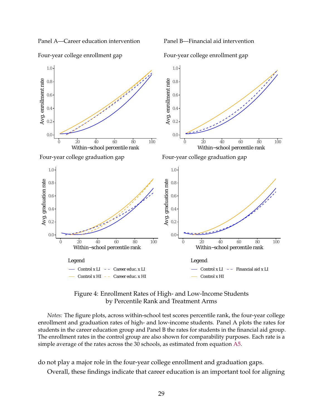<span id="page-29-0"></span>Panel A—Career education intervention

Panel B—Financial aid intervention



Four-year college enrollment gap

Four-year college enrollment gap

### Figure 4: Enrollment Rates of High- and Low-Income Students by Percentile Rank and Treatment Arms

*Notes:* The figure plots, across within-school test scores percentile rank, the four-year college enrollment and graduation rates of high- and low-income students. Panel A plots the rates for students in the career education group and Panel B the rates for students in the financial aid group. The enrollment rates in the control group are also shown for comparability purposes. Each rate is a simple average of the rates across the 30 schools, as estimated from equation [A5.](#page-74-1)

do not play a major role in the four-year college enrollment and graduation gaps.

Overall, these findings indicate that career education is an important tool for aligning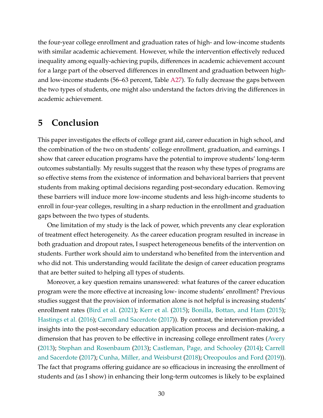the four-year college enrollment and graduation rates of high- and low-income students with similar academic achievement. However, while the intervention effectively reduced inequality among equally-achieving pupils, differences in academic achievement account for a large part of the observed differences in enrollment and graduation between highand low-income students (56–63 percent, Table [A27\)](#page-67-0). To fully decrease the gaps between the two types of students, one might also understand the factors driving the differences in academic achievement.

## **5 Conclusion**

This paper investigates the effects of college grant aid, career education in high school, and the combination of the two on students' college enrollment, graduation, and earnings. I show that career education programs have the potential to improve students' long-term outcomes substantially. My results suggest that the reason why these types of programs are so effective stems from the existence of information and behavioral barriers that prevent students from making optimal decisions regarding post-secondary education. Removing these barriers will induce more low-income students and less high-income students to enroll in four-year colleges, resulting in a sharp reduction in the enrollment and graduation gaps between the two types of students.

One limitation of my study is the lack of power, which prevents any clear exploration of treatment effect heterogeneity. As the career education program resulted in increase in both graduation and dropout rates, I suspect heterogeneous benefits of the intervention on students. Further work should aim to understand who benefited from the intervention and who did not. This understanding would facilitate the design of career education programs that are better suited to helping all types of students.

Moreover, a key question remains unanswered: what features of the career education program were the more effective at increasing low- income students' enrollment? Previous studies suggest that the provision of information alone is not helpful is increasing students' enrollment rates [\(Bird et al.](#page-33-8) [\(2021\)](#page-33-8); [Kerr et al.](#page-35-11) [\(2015\)](#page-35-11); [Bonilla, Bottan, and Ham](#page-33-9) [\(2015\)](#page-33-9); [Hastings et al.](#page-34-10) [\(2016\)](#page-34-10); [Carrell and Sacerdote](#page-33-2) [\(2017\)](#page-33-2)). By contrast, the intervention provided insights into the post-secondary education application process and decision-making, a dimension that has proven to be effective in increasing college enrollment rates [\(Avery](#page-32-9) [\(2013\)](#page-32-9); [Stephan and Rosenbaum](#page-36-4) [\(2013\)](#page-36-4); [Castleman, Page, and Schooley](#page-33-10) [\(2014\)](#page-33-10); [Carrell](#page-33-2) [and Sacerdote](#page-33-2) [\(2017\)](#page-33-2); [Cunha, Miller, and Weisburst](#page-33-5) [\(2018\)](#page-33-5); [Oreopoulos and Ford](#page-35-5) [\(2019\)](#page-35-5)). The fact that programs offering guidance are so efficacious in increasing the enrollment of students and (as I show) in enhancing their long-term outcomes is likely to be explained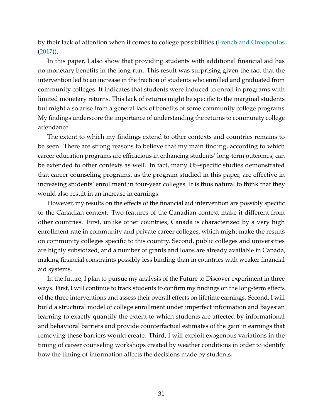by their lack of attention when it comes to college possibilities [\(French and Oreopoulos](#page-34-0) [\(2017\)](#page-34-0)).

In this paper, I also show that providing students with additional financial aid has no monetary benefits in the long run. This result was surprising given the fact that the intervention led to an increase in the fraction of students who enrolled and graduated from community colleges. It indicates that students were induced to enroll in programs with limited monetary returns. This lack of returns might be specific to the marginal students but might also arise from a general lack of benefits of some community college programs. My findings underscore the importance of understanding the returns to community college attendance.

The extent to which my findings extend to other contexts and countries remains to be seen. There are strong reasons to believe that my main finding, according to which career education programs are efficacious in enhancing students' long-term outcomes, can be extended to other contexts as well. In fact, many US-specific studies demonstrated that career counseling programs, as the program studied in this paper, are effective in increasing students' enrollment in four-year colleges. It is thus natural to think that they would also result in an increase in earnings.

However, my results on the effects of the financial aid intervention are possibly specific to the Canadian context. Two features of the Canadian context make it different from other countries. First, unlike other countries, Canada is characterized by a very high enrollment rate in community and private career colleges, which might make the results on community colleges specific to this country. Second, public colleges and universities are highly subsidized, and a number of grants and loans are already available in Canada, making financial constraints possibly less binding than in countries with weaker financial aid systems.

In the future, I plan to pursue my analysis of the Future to Discover experiment in three ways. First, I will continue to track students to confirm my findings on the long-term effects of the three interventions and assess their overall effects on lifetime earnings. Second, I will build a structural model of college enrollment under imperfect information and Bayesian learning to exactly quantify the extent to which students are affected by informational and behavioral barriers and provide counterfactual estimates of the gain in earnings that removing these barriers would create. Third, I will exploit exogenous variations in the timing of career counseling workshops created by weather conditions in order to identify how the timing of information affects the decisions made by students.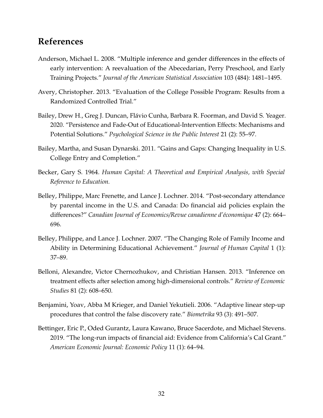# **References**

- <span id="page-32-8"></span>Anderson, Michael L. 2008. "Multiple inference and gender differences in the effects of early intervention: A reevaluation of the Abecedarian, Perry Preschool, and Early Training Projects." *Journal of the American Statistical Association* 103 (484): 1481–1495.
- <span id="page-32-9"></span>Avery, Christopher. 2013. "Evaluation of the College Possible Program: Results from a Randomized Controlled Trial."
- <span id="page-32-0"></span>Bailey, Drew H., Greg J. Duncan, Flávio Cunha, Barbara R. Foorman, and David S. Yeager. 2020. "Persistence and Fade-Out of Educational-Intervention Effects: Mechanisms and Potential Solutions." *Psychological Science in the Public Interest* 21 (2): 55–97.
- <span id="page-32-1"></span>Bailey, Martha, and Susan Dynarski. 2011. "Gains and Gaps: Changing Inequality in U.S. College Entry and Completion."
- <span id="page-32-2"></span>Becker, Gary S. 1964. *Human Capital: A Theoretical and Empirical Analysis, with Special Reference to Education.*
- <span id="page-32-5"></span>Belley, Philippe, Marc Frenette, and Lance J. Lochner. 2014. "Post-secondary attendance by parental income in the U.S. and Canada: Do financial aid policies explain the differences?" *Canadian Journal of Economics/Revue canadienne d'économique* 47 (2): 664– 696.
- <span id="page-32-4"></span>Belley, Philippe, and Lance J. Lochner. 2007. "The Changing Role of Family Income and Ability in Determining Educational Achievement." *Journal of Human Capital* 1 (1): 37–89.
- <span id="page-32-6"></span>Belloni, Alexandre, Victor Chernozhukov, and Christian Hansen. 2013. "Inference on treatment effects after selection among high-dimensional controls." *Review of Economic Studies* 81 (2): 608–650.
- <span id="page-32-7"></span>Benjamini, Yoav, Abba M Krieger, and Daniel Yekutieli. 2006. "Adaptive linear step-up procedures that control the false discovery rate." *Biometrika* 93 (3): 491–507.
- <span id="page-32-3"></span>Bettinger, Eric P., Oded Gurantz, Laura Kawano, Bruce Sacerdote, and Michael Stevens. 2019. "The long-run impacts of financial aid: Evidence from California's Cal Grant." *American Economic Journal: Economic Policy* 11 (1): 64–94.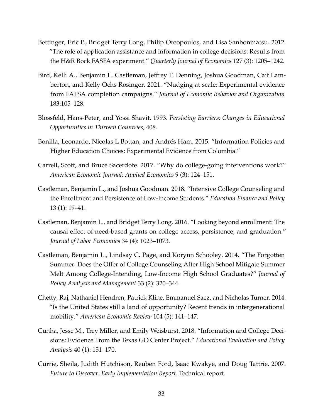- <span id="page-33-3"></span>Bettinger, Eric P., Bridget Terry Long, Philip Oreopoulos, and Lisa Sanbonmatsu. 2012. "The role of application assistance and information in college decisions: Results from the H&R Bock FASFA experiment." *Quarterly Journal of Economics* 127 (3): 1205–1242.
- <span id="page-33-8"></span>Bird, Kelli A., Benjamin L. Castleman, Jeffrey T. Denning, Joshua Goodman, Cait Lamberton, and Kelly Ochs Rosinger. 2021. "Nudging at scale: Experimental evidence from FAFSA completion campaigns." *Journal of Economic Behavior and Organization* 183:105–128.
- <span id="page-33-1"></span>Blossfeld, Hans-Peter, and Yossi Shavit. 1993. *Persisting Barriers: Changes in Educational Opportunities in Thirteen Countries,* 408.
- <span id="page-33-9"></span>Bonilla, Leonardo, Nicolas L Bottan, and Andrés Ham. 2015. "Information Policies and Higher Education Choices: Experimental Evidence from Colombia."
- <span id="page-33-2"></span>Carrell, Scott, and Bruce Sacerdote. 2017. "Why do college-going interventions work?" *American Economic Journal: Applied Economics* 9 (3): 124–151.
- <span id="page-33-4"></span>Castleman, Benjamin L., and Joshua Goodman. 2018. "Intensive College Counseling and the Enrollment and Persistence of Low-Income Students." *Education Finance and Policy* 13 (1): 19–41.
- <span id="page-33-6"></span>Castleman, Benjamin L., and Bridget Terry Long. 2016. "Looking beyond enrollment: The causal effect of need-based grants on college access, persistence, and graduation." *Journal of Labor Economics* 34 (4): 1023–1073.
- <span id="page-33-10"></span>Castleman, Benjamin L., Lindsay C. Page, and Korynn Schooley. 2014. "The Forgotten Summer: Does the Offer of College Counseling After High School Mitigate Summer Melt Among College-Intending, Low-Income High School Graduates?" *Journal of Policy Analysis and Management* 33 (2): 320–344.
- <span id="page-33-0"></span>Chetty, Raj, Nathaniel Hendren, Patrick Kline, Emmanuel Saez, and Nicholas Turner. 2014. "Is the United States still a land of opportunity? Recent trends in intergenerational mobility." *American Economic Review* 104 (5): 141–147.
- <span id="page-33-5"></span>Cunha, Jesse M., Trey Miller, and Emily Weisburst. 2018. "Information and College Decisions: Evidence From the Texas GO Center Project." *Educational Evaluation and Policy Analysis* 40 (1): 151–170.
- <span id="page-33-7"></span>Currie, Sheila, Judith Hutchison, Reuben Ford, Isaac Kwakye, and Doug Tattrie. 2007. *Future to Discover: Early Implementation Report.* Technical report.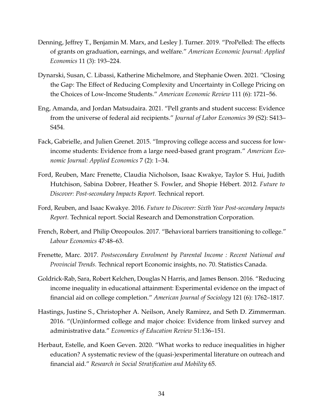- <span id="page-34-7"></span>Denning, Jeffrey T., Benjamin M. Marx, and Lesley J. Turner. 2019. "ProPelled: The effects of grants on graduation, earnings, and welfare." *American Economic Journal: Applied Economics* 11 (3): 193–224.
- <span id="page-34-3"></span>Dynarski, Susan, C. Libassi, Katherine Michelmore, and Stephanie Owen. 2021. "Closing the Gap: The Effect of Reducing Complexity and Uncertainty in College Pricing on the Choices of Low-Income Students." *American Economic Review* 111 (6): 1721–56.
- <span id="page-34-8"></span>Eng, Amanda, and Jordan Matsudaira. 2021. "Pell grants and student success: Evidence from the universe of federal aid recipients." *Journal of Labor Economics* 39 (S2): S413– S454.
- <span id="page-34-5"></span>Fack, Gabrielle, and Julien Grenet. 2015. "Improving college access and success for lowincome students: Evidence from a large need-based grant program." *American Economic Journal: Applied Economics* 7 (2): 1–34.
- <span id="page-34-4"></span>Ford, Reuben, Marc Frenette, Claudia Nicholson, Isaac Kwakye, Taylor S. Hui, Judith Hutchison, Sabina Dobrer, Heather S. Fowler, and Shopie Hébert. 2012. *Future to Discover: Post-secondary Impacts Report.* Technical report.
- <span id="page-34-9"></span>Ford, Reuben, and Isaac Kwakye. 2016. *Future to Discover: Sixth Year Post-secondary Impacts Report.* Technical report. Social Research and Demonstration Corporation.
- <span id="page-34-0"></span>French, Robert, and Philip Oreopoulos. 2017. "Behavioral barriers transitioning to college." *Labour Economics* 47:48–63.
- <span id="page-34-2"></span>Frenette, Marc. 2017. *Postsecondary Enrolment by Parental Income : Recent National and Provincial Trends.* Technical report Economic insights, no. 70. Statistics Canada.
- <span id="page-34-6"></span>Goldrick-Rab, Sara, Robert Kelchen, Douglas N Harris, and James Benson. 2016. "Reducing income inequality in educational attainment: Experimental evidence on the impact of financial aid on college completion." *American Journal of Sociology* 121 (6): 1762–1817.
- <span id="page-34-10"></span>Hastings, Justine S., Christopher A. Neilson, Anely Ramirez, and Seth D. Zimmerman. 2016. "(Un)informed college and major choice: Evidence from linked survey and administrative data." *Economics of Education Review* 51:136–151.
- <span id="page-34-1"></span>Herbaut, Estelle, and Koen Geven. 2020. "What works to reduce inequalities in higher education? A systematic review of the (quasi-)experimental literature on outreach and financial aid." *Research in Social Stratification and Mobility* 65.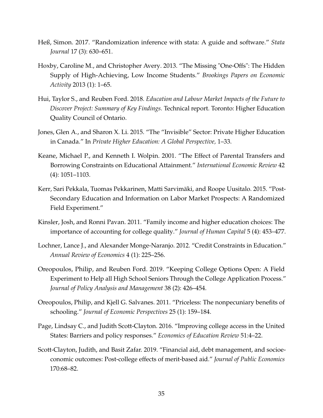- <span id="page-35-9"></span>Heß, Simon. 2017. "Randomization inference with stata: A guide and software." *Stata Journal* 17 (3): 630–651.
- <span id="page-35-3"></span>Hoxby, Caroline M., and Christopher Avery. 2013. "The Missing "One-Offs": The Hidden Supply of High-Achieving, Low Income Students." *Brookings Papers on Economic Activity* 2013 (1): 1–65.
- <span id="page-35-4"></span>Hui, Taylor S., and Reuben Ford. 2018. *Education and Labour Market Impacts of the Future to Discover Project: Summary of Key Findings.* Technical report. Toronto: Higher Education Quality Council of Ontario.
- <span id="page-35-8"></span>Jones, Glen A., and Sharon X. Li. 2015. "The "Invisible" Sector: Private Higher Education in Canada." In *Private Higher Education: A Global Perspective,* 1–33.
- <span id="page-35-7"></span>Keane, Michael P., and Kenneth I. Wolpin. 2001. "The Effect of Parental Transfers and Borrowing Constraints on Educational Attainment." *International Economic Review* 42 (4): 1051–1103.
- <span id="page-35-11"></span>Kerr, Sari Pekkala, Tuomas Pekkarinen, Matti Sarvimäki, and Roope Uusitalo. 2015. "Post-Secondary Education and Information on Labor Market Prospects: A Randomized Field Experiment."
- <span id="page-35-2"></span>Kinsler, Josh, and Ronni Pavan. 2011. "Family income and higher education choices: The importance of accounting for college quality." *Journal of Human Capital* 5 (4): 453–477.
- <span id="page-35-0"></span>Lochner, Lance J., and Alexander Monge-Naranjo. 2012. "Credit Constraints in Education." *Annual Review of Economics* 4 (1): 225–256.
- <span id="page-35-5"></span>Oreopoulos, Philip, and Reuben Ford. 2019. "Keeping College Options Open: A Field Experiment to Help all High School Seniors Through the College Application Process." *Journal of Policy Analysis and Management* 38 (2): 426–454.
- <span id="page-35-10"></span>Oreopoulos, Philip, and Kjell G. Salvanes. 2011. "Priceless: The nonpecuniary benefits of schooling." *Journal of Economic Perspectives* 25 (1): 159–184.
- <span id="page-35-1"></span>Page, Lindsay C., and Judith Scott-Clayton. 2016. "Improving college access in the United States: Barriers and policy responses." *Economics of Education Review* 51:4–22.
- <span id="page-35-6"></span>Scott-Clayton, Judith, and Basit Zafar. 2019. "Financial aid, debt management, and socioeconomic outcomes: Post-college effects of merit-based aid." *Journal of Public Economics* 170:68–82.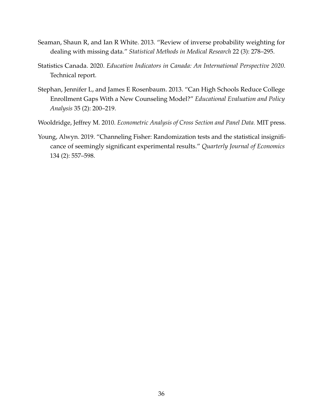- Seaman, Shaun R, and Ian R White. 2013. "Review of inverse probability weighting for dealing with missing data." *Statistical Methods in Medical Research* 22 (3): 278–295.
- Statistics Canada. 2020. *Education Indicators in Canada: An International Perspective 2020.* Technical report.
- Stephan, Jennifer L, and James E Rosenbaum. 2013. "Can High Schools Reduce College Enrollment Gaps With a New Counseling Model?" *Educational Evaluation and Policy Analysis* 35 (2): 200–219.
- Wooldridge, Jeffrey M. 2010. *Econometric Analysis of Cross Section and Panel Data.* MIT press.
- Young, Alwyn. 2019. "Channeling Fisher: Randomization tests and the statistical insignificance of seemingly significant experimental results." *Quarterly Journal of Economics* 134 (2): 557–598.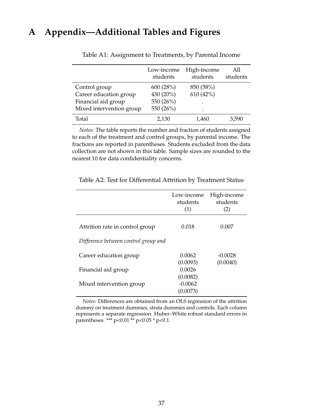# **A Appendix—Additional Tables and Figures**

|                          | Low-income<br>students | High-income<br>students | A11<br>students |
|--------------------------|------------------------|-------------------------|-----------------|
| Control group            | 600 (28%)              | 850 (58%)               |                 |
| Career education group   | 430 (20%)              | 610(42%)                |                 |
| Financial aid group      | 550 (26%)              | $\bullet$               |                 |
| Mixed intervention group | 550 (26%)              | $\bullet$               |                 |
| Total                    | 2,130                  | 1,460                   | 3,590           |

Table A1: Assignment to Treatments, by Parental Income

*Notes:* The table reports the number and fraction of students assigned to each of the treatment and control groups, by parental income. The fractions are reported in parentheses. Students excluded from the data collection are not shown in this table. Sample sizes are rounded to the nearest 10 for data confidentiality concerns.

|                                      | Low-income<br>students<br>(1)     | High-income<br>students<br>(2) |
|--------------------------------------|-----------------------------------|--------------------------------|
| Attrition rate in control group      | 0.018                             | 0.007                          |
| Difference between control group and |                                   |                                |
| Career education group               | 0.0062<br>(0.0093)                | $-0.0028$<br>(0.0040)          |
| Financial aid group                  | 0.0026                            |                                |
| Mixed intervention group             | (0.0082)<br>$-0.0062$<br>(0.0073) |                                |
|                                      |                                   |                                |

Table A2: Test for Differential Attrition by Treatment Status

*Notes:* Differences are obtained from an OLS regression of the attrition dummy on treatment dummies, strata dummies and controls. Each column represents a separate regression. Huber–White robust standard errors in parentheses. \*\*\* p<0.01 \*\* p<0.05 \* p<0.1.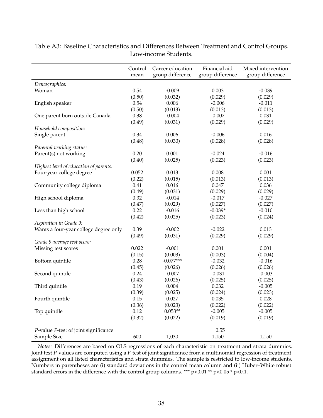|                                        | Control<br>mean | Career education<br>group difference | Financial aid<br>group difference | Mixed intervention<br>group difference |
|----------------------------------------|-----------------|--------------------------------------|-----------------------------------|----------------------------------------|
| Demographics:                          |                 |                                      |                                   |                                        |
| Woman                                  | 0.54            | $-0.009$                             | 0.003                             | $-0.039$                               |
|                                        | (0.50)          | (0.032)                              | (0.029)                           | (0.029)                                |
| English speaker                        | 0.54            | 0.006                                | $-0.006$                          | $-0.011$                               |
|                                        | (0.50)          | (0.013)                              | (0.013)                           | (0.013)                                |
| One parent born outside Canada         | 0.38            | $-0.004$                             | $-0.007$                          | 0.031                                  |
|                                        | (0.49)          | (0.031)                              | (0.029)                           | (0.029)                                |
| Household composition:                 |                 |                                      |                                   |                                        |
| Single parent                          | 0.34            | 0.006                                | $-0.006$                          | 0.016                                  |
|                                        | (0.48)          | (0.030)                              | (0.028)                           | (0.028)                                |
| Parental working status:               |                 |                                      |                                   |                                        |
| Parent(s) not working                  | 0.20            | 0.001                                | $-0.024$                          | $-0.016$                               |
|                                        | (0.40)          | (0.025)                              | (0.023)                           | (0.023)                                |
| Highest level of education of parents: |                 |                                      |                                   |                                        |
| Four-year college degree               | 0.052           | 0.013                                | 0.008                             | 0.001                                  |
|                                        | (0.22)          | (0.015)                              | (0.013)                           | (0.013)                                |
| Community college diploma              | 0.41            | 0.016                                | 0.047                             | 0.036                                  |
|                                        | (0.49)          | (0.031)                              | (0.029)                           | (0.029)                                |
| High school diploma                    | 0.32            | $-0.014$                             | $-0.017$                          | $-0.027$                               |
|                                        | (0.47)          | (0.029)                              | (0.027)                           | (0.027)                                |
| Less than high school                  | 0.22            | $-0.016$                             | $-0.039*$                         | $-0.010$                               |
|                                        | (0.42)          | (0.025)                              | (0.023)                           | (0.024)                                |
| Aspiration in Grade 9:                 |                 |                                      |                                   |                                        |
| Wants a four-year college degree only  | 0.39            | $-0.002$                             | $-0.022$                          | 0.013                                  |
|                                        | (0.49)          | (0.031)                              | (0.029)                           | (0.029)                                |
| Grade 9 average test score:            |                 |                                      |                                   |                                        |
| Missing test scores                    | 0.022           | $-0.001$                             | 0.001                             | 0.001                                  |
|                                        | (0.15)          | (0.003)                              | (0.003)                           | (0.004)                                |
| Bottom quintile                        | 0.28            | $-0.077***$                          | $-0.032$                          | $-0.016$                               |
|                                        | (0.45)          | (0.026)                              | (0.026)                           | (0.026)                                |
| Second quintile                        | 0.24            | $-0.007$                             | $-0.031$                          | $-0.003$                               |
|                                        | (0.43)          | (0.026)                              | (0.025)                           | (0.025)                                |
| Third quintile                         | 0.19            | 0.004                                | 0.032                             | $-0.005$                               |
|                                        | (0.39)          | (0.025)                              | (0.024)                           | (0.023)                                |
| Fourth quintile                        | 0.15            | 0.027                                | 0.035                             | 0.028                                  |
|                                        | (0.36)          | (0.023)                              | (0.022)                           | (0.022)                                |
| Top quintile                           | 0.12            | $0.053**$                            | $-0.005$                          | $-0.005$                               |
|                                        | (0.32)          | (0.022)                              | (0.019)                           | (0.019)                                |
| P-value F-test of joint significance   |                 |                                      | 0.55                              |                                        |
| Sample Size                            | 600             | 1,030                                | 1,150                             | 1,150                                  |

<span id="page-38-0"></span>Table A3: Baseline Characteristics and Differences Between Treatment and Control Groups. Low-income Students.

*Notes:* Differences are based on OLS regressions of each characteristic on treatment and strata dummies. Joint test *P*-values are computed using a *F*-test of joint significance from a multinomial regression of treatment assignment on all listed characteristics and strata dummies. The sample is restricted to low-income students. Numbers in parentheses are (i) standard deviations in the control mean column and (ii) Huber–White robust standard errors in the difference with the control group columns. \*\*\*  $p<0.01$  \*\*  $p<0.05$  \*  $p<0.1$ .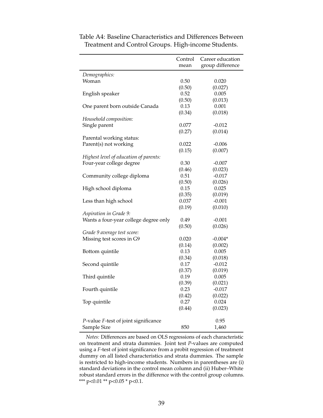|                                        | Control | Career education |
|----------------------------------------|---------|------------------|
|                                        | mean    | group difference |
| Demographics:                          |         |                  |
| Woman                                  | 0.50    | 0.020            |
|                                        | (0.50)  | (0.027)          |
| English speaker                        | 0.52    | 0.005            |
|                                        | (0.50)  | (0.013)          |
| One parent born outside Canada         | 0.13    | 0.001            |
|                                        | (0.34)  | (0.018)          |
| Household composition:                 |         |                  |
| Single parent                          | 0.077   | $-0.012$         |
|                                        | (0.27)  | (0.014)          |
| Parental working status:               |         |                  |
| Parent(s) not working                  | 0.022   | $-0.006$         |
|                                        | (0.15)  | (0.007)          |
| Highest level of education of parents: |         |                  |
| Four-year college degree               | 0.30    | $-0.007$         |
|                                        | (0.46)  | (0.023)          |
| Community college diploma              | 0.51    | $-0.017$         |
|                                        | (0.50)  | (0.026)          |
| High school diploma                    | 0.15    | 0.025            |
|                                        | (0.35)  | (0.019)          |
| Less than high school                  | 0.037   | $-0.001$         |
|                                        | (0.19)  | (0.010)          |
| Aspiration in Grade 9:                 |         |                  |
| Wants a four-year college degree only  | 0.49    | $-0.001$         |
|                                        | (0.50)  | (0.026)          |
| Grade 9 average test score:            |         |                  |
| Missing test scores in G9              | 0.020   | $-0.004*$        |
|                                        | (0.14)  | (0.002)          |
| Bottom quintile                        | 0.13    | 0.005            |
|                                        | (0.34)  | (0.018)          |
| Second quintile                        | 0.17    | $-0.012$         |
|                                        | (0.37)  | (0.019)          |
| Third quintile                         | 0.19    | 0.005            |
|                                        | (0.39)  | (0.021)          |
| Fourth quintile                        | 0.23    | $-0.017$         |
|                                        | (0.42)  | (0.022)          |
| Top quintile                           | 0.27    | 0.024            |
|                                        | (0.44)  | (0.023)          |
|                                        |         |                  |
| P-value F-test of joint significance   |         | 0.95             |
| Sample Size                            | 850     | 1,460            |

Table A4: Baseline Characteristics and Differences Between Treatment and Control Groups. High-income Students.

*Notes:* Differences are based on OLS regressions of each characteristic on treatment and strata dummies. Joint test *P*-values are computed using a *F*-test of joint significance from a probit regression of treatment dummy on all listed characteristics and strata dummies. The sample is restricted to high-income students. Numbers in parentheses are (i) standard deviations in the control mean column and (ii) Huber–White robust standard errors in the difference with the control group columns. \*\*\*  $p<0.01$  \*\*  $p<0.05$  \*  $p<0.1$ .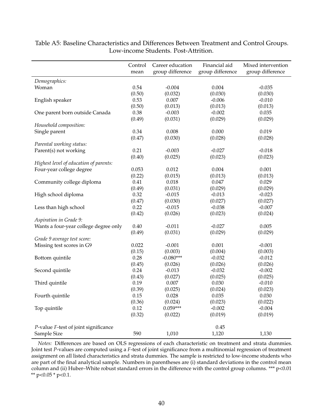|                                        | Control<br>mean | Career education<br>group difference | Financial aid<br>group difference | Mixed intervention<br>group difference |
|----------------------------------------|-----------------|--------------------------------------|-----------------------------------|----------------------------------------|
| Demographics:                          |                 |                                      |                                   |                                        |
| Woman                                  | 0.54            | $-0.004$                             | 0.004                             | $-0.035$                               |
|                                        | (0.50)          | (0.032)                              | (0.030)                           | (0.030)                                |
| English speaker                        | 0.53            | 0.007                                | $-0.006$                          | $-0.010$                               |
|                                        | (0.50)          | (0.013)                              | (0.013)                           | (0.013)                                |
| One parent born outside Canada         | 0.38            | $-0.003$                             | $-0.002$                          | 0.035                                  |
|                                        | (0.49)          | (0.031)                              | (0.029)                           | (0.029)                                |
| Household composition:                 |                 |                                      |                                   |                                        |
| Single parent                          | 0.34            | 0.008                                | 0.000                             | 0.019                                  |
|                                        | (0.47)          | (0.030)                              | (0.028)                           | (0.028)                                |
| Parental working status:               |                 |                                      |                                   |                                        |
| Parent(s) not working                  | 0.21            | $-0.003$                             | $-0.027$                          | $-0.018$                               |
|                                        | (0.40)          | (0.025)                              | (0.023)                           | (0.023)                                |
| Highest level of education of parents: |                 |                                      |                                   |                                        |
| Four-year college degree               | 0.053           | 0.012                                | 0.004                             | 0.001                                  |
|                                        | (0.22)          | (0.015)                              | (0.013)                           | (0.013)                                |
| Community college diploma              | 0.41            | 0.018                                | 0.047                             | 0.029                                  |
|                                        | (0.49)          | (0.031)                              | (0.029)                           | (0.029)                                |
| High school diploma                    | 0.32            | $-0.015$                             | $-0.013$                          | $-0.023$                               |
|                                        | (0.47)          | (0.030)                              | (0.027)                           | (0.027)                                |
| Less than high school                  | 0.22            | $-0.015$                             | $-0.038$                          | $-0.007$                               |
|                                        | (0.42)          | (0.026)                              | (0.023)                           | (0.024)                                |
| Aspiration in Grade 9:                 |                 |                                      |                                   |                                        |
| Wants a four-year college degree only  | 0.40            | $-0.011$                             | $-0.027$                          | 0.005                                  |
|                                        | (0.49)          | (0.031)                              | (0.029)                           | (0.029)                                |
| Grade 9 average test score:            |                 |                                      |                                   |                                        |
| Missing test scores in G9              | 0.022           | $-0.001$                             | 0.001                             | $-0.001$                               |
|                                        | (0.15)          | (0.003)                              | (0.004)                           | (0.003)                                |
| Bottom quintile                        | 0.28            | $-0.080***$                          | $-0.032$                          | $-0.012$                               |
|                                        | (0.45)          | (0.026)                              | (0.026)                           | (0.026)                                |
| Second quintile                        | 0.24            | $-0.013$                             | $-0.032$                          | $-0.002$                               |
|                                        | (0.43)          | (0.027)                              | (0.025)                           | (0.025)                                |
| Third quintile                         | 0.19            | 0.007                                | 0.030                             | $-0.010$                               |
|                                        | (0.39)          | (0.025)                              | (0.024)                           | (0.023)                                |
| Fourth quintile                        | 0.15            | 0.028                                | 0.035                             | 0.030                                  |
|                                        | (0.36)          | (0.024)                              | (0.023)                           | (0.022)                                |
| Top quintile                           | 0.12            | $0.059***$                           | $-0.002$                          | $-0.004$                               |
|                                        | (0.32)          | (0.022)                              | (0.019)                           | (0.019)                                |
| P-value F-test of joint significance   |                 |                                      | 0.45                              |                                        |
| Sample Size                            | 590             | 1,010                                | 1,120                             | 1,130                                  |

Table A5: Baseline Characteristics and Differences Between Treatment and Control Groups. Low-income Students. Post-Attrition.

*Notes:* Differences are based on OLS regressions of each characteristic on treatment and strata dummies. Joint test *P*-values are computed using a *F*-test of joint significance from a multinomial regression of treatment assignment on all listed characteristics and strata dummies. The sample is restricted to low-income students who are part of the final analytical sample. Numbers in parentheses are (i) standard deviations in the control mean column and (ii) Huber–White robust standard errors in the difference with the control group columns. \*\*\* p<0.01 \*\*  $p<0.05$  \*  $p<0.1$ .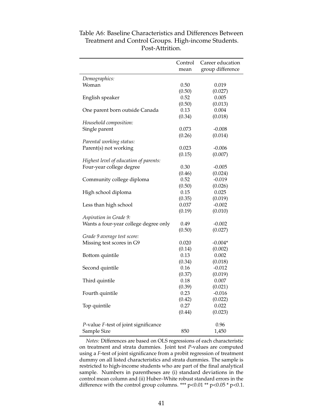|                                        | Control | Career education |
|----------------------------------------|---------|------------------|
|                                        | mean    | group difference |
| Demographics:                          |         |                  |
| Woman                                  | 0.50    | 0.019            |
|                                        | (0.50)  | (0.027)          |
| English speaker                        | 0.52    | 0.005            |
|                                        | (0.50)  | (0.013)          |
| One parent born outside Canada         | 0.13    | 0.004            |
|                                        | (0.34)  | (0.018)          |
| Household composition:                 |         |                  |
| Single parent                          | 0.073   | $-0.008$         |
|                                        | (0.26)  | (0.014)          |
| Parental working status:               |         |                  |
| Parent(s) not working                  | 0.023   | $-0.006$         |
|                                        | (0.15)  | (0.007)          |
| Highest level of education of parents: |         |                  |
| Four-year college degree               | 0.30    | $-0.005$         |
|                                        | (0.46)  | (0.024)          |
| Community college diploma              | 0.52    | $-0.019$         |
|                                        | (0.50)  | (0.026)          |
| High school diploma                    | 0.15    | 0.025            |
|                                        | (0.35)  | (0.019)          |
| Less than high school                  | 0.037   | $-0.002$         |
|                                        | (0.19)  | (0.010)          |
| Aspiration in Grade 9:                 |         |                  |
| Wants a four-year college degree only  | 0.49    | $-0.002$         |
|                                        | (0.50)  | (0.027)          |
| Grade 9 average test score:            |         |                  |
| Missing test scores in G9              | 0.020   | $-0.004*$        |
|                                        | (0.14)  | (0.002)          |
| Bottom quintile                        | 0.13    | 0.002            |
|                                        | (0.34)  | (0.018)          |
| Second quintile                        | 0.16    | $-0.012$         |
|                                        | (0.37)  | (0.019)          |
| Third quintile                         | 0.18    | 0.007            |
|                                        | (0.39)  | (0.021)          |
| Fourth quintile                        | 0.23    | $-0.016$         |
|                                        | (0.42)  | (0.022)          |
| Top quintile                           | 0.27    | 0.022            |
|                                        | (0.44)  | (0.023)          |
|                                        |         |                  |
| P-value F-test of joint significance   |         | 0.96             |
| Sample Size                            | 850     | 1,450            |

Table A6: Baseline Characteristics and Differences Between Treatment and Control Groups. High-income Students. Post-Attrition.

*Notes:* Differences are based on OLS regressions of each characteristic on treatment and strata dummies. Joint test *P*-values are computed using a *F*-test of joint significance from a probit regression of treatment dummy on all listed characteristics and strata dummies. The sample is restricted to high-income students who are part of the final analytical sample. Numbers in parentheses are (i) standard deviations in the control mean column and (ii) Huber–White robust standard errors in the difference with the control group columns. \*\*\*  $p<0.01$  \*\*  $p<0.05$  \*  $p<0.1$ .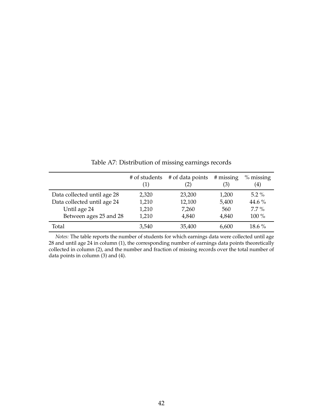|                             | # of students<br>(1) | # of data points<br>(2) | # missing<br>(3) | $%$ missing<br>$\left( 4\right)$ |
|-----------------------------|----------------------|-------------------------|------------------|----------------------------------|
| Data collected until age 28 | 2,320                | 23,200                  | 1,200            | $5.2\%$                          |
| Data collected until age 24 | 1,210                | 12,100                  | 5,400            | 44.6 $%$                         |
| Until age 24                | 1,210                | 7,260                   | 560              | $7.7\%$                          |
| Between ages 25 and 28      | 1,210                | 4,840                   | 4,840            | 100 %                            |
| Total                       | 3,540                | 35,400                  | 6,600            | $18.6\%$                         |

Table A7: Distribution of missing earnings records

*Notes:* The table reports the number of students for which earnings data were collected until age 28 and until age 24 in column (1), the corresponding number of earnings data points theoretically collected in column (2), and the number and fraction of missing records over the total number of data points in column (3) and (4).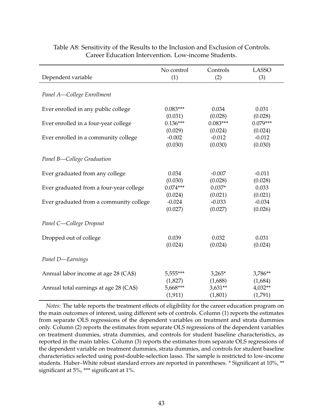| Dependent variable                      | No control | Controls   | <b>LASSO</b> |
|-----------------------------------------|------------|------------|--------------|
|                                         | (1)        | (2)        | (3)          |
| Panel A-College Enrollment              |            |            |              |
| Ever enrolled in any public college     | $0.083***$ | 0.034      | 0.031        |
|                                         | (0.031)    | (0.028)    | (0.028)      |
| Ever enrolled in a four-year college    | $0.136***$ | $0.083***$ | $0.079***$   |
|                                         | (0.029)    | (0.024)    | (0.024)      |
| Ever enrolled in a community college    | $-0.002$   | $-0.012$   | $-0.012$     |
|                                         | (0.030)    | (0.030)    | (0.030)      |
| Panel B-College Graduation              |            |            |              |
| Ever graduated from any college         | 0.034      | $-0.007$   | $-0.011$     |
|                                         | (0.030)    | (0.028)    | (0.028)      |
| Ever graduated from a four-year college | $0.074***$ | $0.037*$   | 0.033        |
|                                         | (0.024)    | (0.021)    | (0.021)      |
| Ever graduated from a community college | $-0.024$   | $-0.033$   | $-0.034$     |
|                                         | (0.027)    | (0.027)    | (0.026)      |
| Panel C-College Dropout                 |            |            |              |
| Dropped out of college                  | 0.039      | 0.032      | 0.031        |
|                                         | (0.024)    | (0.024)    | (0.024)      |
| Panel D-Earnings                        |            |            |              |
| Annual labor income at age 28 (CA\$)    | 5,555***   | $3,265*$   | 3,786**      |
|                                         | (1,827)    | (1,688)    | (1,684)      |
| Annual total earnings at age 28 (CA\$)  | 5,668***   | $3,631**$  | $4,032**$    |
|                                         | (1, 911)   | (1,801)    | (1,791)      |

Table A8: Sensitivity of the Results to the Inclusion and Exclusion of Controls. Career Education Intervention. Low-income Students.

*Notes:* The table reports the treatment effects of eligibility for the career education program on the main outcomes of interest, using different sets of controls. Column (1) reports the estimates from separate OLS regressions of the dependent variables on treatment and strata dummies only. Column (2) reports the estimates from separate OLS regressions of the dependent variables on treatment dummies, strata dummies, and controls for student baseline characteristics, as reported in the main tables. Column (3) reports the estimates from separate OLS regressions of the dependent variable on treatment dummies, strata dummies, and controls for student baseline characteristics selected using post-double-selection lasso. The sample is restricted to low-income students. Huber–White robust standard errors are reported in parentheses. \* Significant at 10%, \*\* significant at 5%, \*\*\* significant at 1%.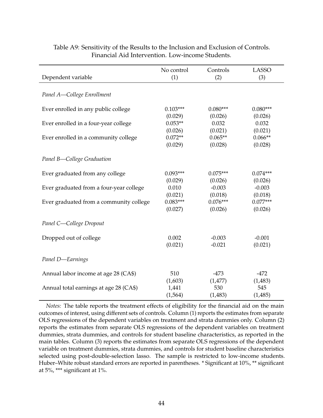| Dependent variable                      | No control | Controls   | <b>LASSO</b> |
|-----------------------------------------|------------|------------|--------------|
|                                         | (1)        | (2)        | (3)          |
| Panel A-College Enrollment              |            |            |              |
| Ever enrolled in any public college     | $0.103***$ | $0.080***$ | $0.080***$   |
| Ever enrolled in a four-year college    | (0.029)    | (0.026)    | (0.026)      |
|                                         | $0.053**$  | 0.032      | 0.032        |
|                                         | (0.026)    | (0.021)    | (0.021)      |
| Ever enrolled in a community college    | $0.072**$  | $0.065**$  | $0.066**$    |
|                                         | (0.029)    | (0.028)    | (0.028)      |
| Panel B-College Graduation              |            |            |              |
| Ever graduated from any college         | $0.093***$ | $0.075***$ | $0.074***$   |
|                                         | (0.029)    | (0.026)    | (0.026)      |
| Ever graduated from a four-year college | 0.010      | $-0.003$   | $-0.003$     |
|                                         | (0.021)    | (0.018)    | (0.018)      |
| Ever graduated from a community college | $0.083***$ | $0.076***$ | $0.077***$   |
|                                         | (0.027)    | (0.026)    | (0.026)      |
| Panel C-College Dropout                 |            |            |              |
| Dropped out of college                  | 0.002      | $-0.003$   | $-0.001$     |
|                                         | (0.021)    | $-0.021$   | (0.021)      |
| Panel D-Earnings                        |            |            |              |
| Annual labor income at age 28 (CA\$)    | 510        | $-473$     | $-472$       |
|                                         | (1,603)    | (1,477)    | (1,483)      |
| Annual total earnings at age 28 (CA\$)  | 1,441      | 530        | 545          |
|                                         | (1, 564)   | (1,483)    | (1,485)      |

### Table A9: Sensitivity of the Results to the Inclusion and Exclusion of Controls. Financial Aid Intervention. Low-income Students.

*Notes:* The table reports the treatment effects of eligibility for the financial aid on the main outcomes of interest, using different sets of controls. Column (1) reports the estimates from separate OLS regressions of the dependent variables on treatment and strata dummies only. Column (2) reports the estimates from separate OLS regressions of the dependent variables on treatment dummies, strata dummies, and controls for student baseline characteristics, as reported in the main tables. Column (3) reports the estimates from separate OLS regressions of the dependent variable on treatment dummies, strata dummies, and controls for student baseline characteristics selected using post-double-selection lasso. The sample is restricted to low-income students. Huber–White robust standard errors are reported in parentheses. \* Significant at 10%, \*\* significant at 5%, \*\*\* significant at 1%.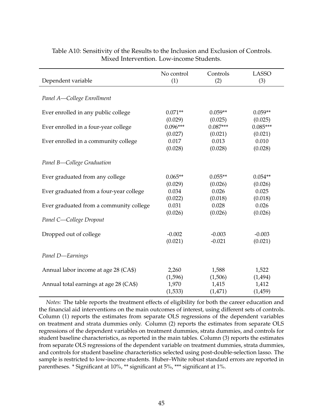|                                         | No control | Controls   | <b>LASSO</b> |
|-----------------------------------------|------------|------------|--------------|
| Dependent variable                      | (1)        | (2)        | (3)          |
| Panel A-College Enrollment              |            |            |              |
| Ever enrolled in any public college     | $0.071**$  | $0.059**$  | $0.059**$    |
|                                         | (0.029)    | (0.025)    | (0.025)      |
| Ever enrolled in a four-year college    | $0.096***$ | $0.087***$ | $0.085***$   |
|                                         | (0.027)    | (0.021)    | (0.021)      |
| Ever enrolled in a community college    | 0.017      | 0.013      | 0.010        |
|                                         | (0.028)    | (0.028)    | (0.028)      |
| Panel B-College Graduation              |            |            |              |
| Ever graduated from any college         | $0.065**$  | $0.055**$  | $0.054**$    |
|                                         | (0.029)    | (0.026)    | (0.026)      |
| Ever graduated from a four-year college | 0.034      | 0.026      | 0.025        |
|                                         | (0.022)    | (0.018)    | (0.018)      |
| Ever graduated from a community college | 0.031      | 0.028      | 0.026        |
|                                         | (0.026)    | (0.026)    | (0.026)      |
| Panel C-College Dropout                 |            |            |              |
| Dropped out of college                  | $-0.002$   | $-0.003$   | $-0.003$     |
|                                         | (0.021)    | $-0.021$   | (0.021)      |
| Panel D-Earnings                        |            |            |              |
| Annual labor income at age 28 (CA\$)    | 2,260      | 1,588      | 1,522        |
|                                         | (1,596)    | (1,506)    | (1, 494)     |
| Annual total earnings at age 28 (CA\$)  | 1,970      | 1,415      | 1,412        |
|                                         | (1,533)    | (1,471)    | (1,459)      |

## Table A10: Sensitivity of the Results to the Inclusion and Exclusion of Controls. Mixed Intervention. Low-income Students.

*Notes:* The table reports the treatment effects of eligibility for both the career education and the financial aid interventions on the main outcomes of interest, using different sets of controls. Column (1) reports the estimates from separate OLS regressions of the dependent variables on treatment and strata dummies only. Column (2) reports the estimates from separate OLS regressions of the dependent variables on treatment dummies, strata dummies, and controls for student baseline characteristics, as reported in the main tables. Column (3) reports the estimates from separate OLS regressions of the dependent variable on treatment dummies, strata dummies, and controls for student baseline characteristics selected using post-double-selection lasso. The sample is restricted to low-income students. Huber–White robust standard errors are reported in parentheses. \* Significant at 10%, \*\* significant at 5%, \*\*\* significant at 1%.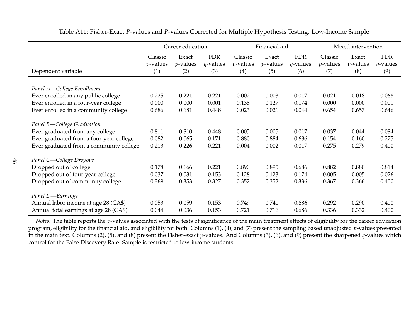|                                         | Career education       |                      | Financial aid             |                        |                      | Mixed intervention        |                        |                      |                           |
|-----------------------------------------|------------------------|----------------------|---------------------------|------------------------|----------------------|---------------------------|------------------------|----------------------|---------------------------|
|                                         | Classic<br>$p$ -values | Exact<br>$p$ -values | <b>FDR</b><br>$q$ -values | Classic<br>$p$ -values | Exact<br>$p$ -values | <b>FDR</b><br>$q$ -values | Classic<br>$p$ -values | Exact<br>$p$ -values | <b>FDR</b><br>$q$ -values |
| Dependent variable                      | (1)                    | (2)                  | (3)                       | (4)                    | (5)                  | (6)                       | (7)                    | (8)                  | (9)                       |
|                                         |                        |                      |                           |                        |                      |                           |                        |                      |                           |
| Panel A-College Enrollment              |                        |                      |                           |                        |                      |                           |                        |                      |                           |
| Ever enrolled in any public college     | 0.225                  | 0.221                | 0.221                     | 0.002                  | 0.003                | 0.017                     | 0.021                  | 0.018                | 0.068                     |
| Ever enrolled in a four-year college    | 0.000                  | 0.000                | 0.001                     | 0.138                  | 0.127                | 0.174                     | 0.000                  | 0.000                | 0.001                     |
| Ever enrolled in a community college    | 0.686                  | 0.681                | 0.448                     | 0.023                  | 0.021                | 0.044                     | 0.654                  | 0.657                | 0.646                     |
| Panel B-College Graduation              |                        |                      |                           |                        |                      |                           |                        |                      |                           |
| Ever graduated from any college         | 0.811                  | 0.810                | 0.448                     | 0.005                  | 0.005                | 0.017                     | 0.037                  | 0.044                | 0.084                     |
| Ever graduated from a four-year college | 0.082                  | 0.065                | 0.171                     | 0.880                  | 0.884                | 0.686                     | 0.154                  | 0.160                | 0.275                     |
| Ever graduated from a community college | 0.213                  | 0.226                | 0.221                     | 0.004                  | 0.002                | 0.017                     | 0.275                  | 0.279                | 0.400                     |
| Panel C-College Dropout                 |                        |                      |                           |                        |                      |                           |                        |                      |                           |
| Dropped out of college                  | 0.178                  | 0.166                | 0.221                     | 0.890                  | 0.895                | 0.686                     | 0.882                  | 0.880                | 0.814                     |
| Dropped out of four-year college        | 0.037                  | 0.031                | 0.153                     | 0.128                  | 0.123                | 0.174                     | 0.005                  | 0.005                | 0.026                     |
| Dropped out of community college        | 0.369                  | 0.353                | 0.327                     | 0.352                  | 0.352                | 0.336                     | 0.367                  | 0.366                | 0.400                     |
| Panel D-Earnings                        |                        |                      |                           |                        |                      |                           |                        |                      |                           |
| Annual labor income at age 28 (CA\$)    | 0.053                  | 0.059                | 0.153                     | 0.749                  | 0.740                | 0.686                     | 0.292                  | 0.290                | 0.400                     |
| Annual total earnings at age 28 (CA\$)  | 0.044                  | 0.036                | 0.153                     | 0.721                  | 0.716                | 0.686                     | 0.336                  | 0.332                | 0.400                     |

Table A11: Fisher-Exact *<sup>P</sup>*-values and *<sup>P</sup>*-values Corrected for Multiple Hypothesis Testing. Low-Income Sample.

*Notes:* The table reports the *<sup>p</sup>*-values associated with the tests of significance of the main treatment effects of eligibility for the career education program, eligibility for the financial aid, and eligibility for both. Columns (1), (4), and (7) presen<sup>t</sup> the sampling based unadjusted *<sup>p</sup>*-values presented in the main text. Columns (2), (5), and (8) presen<sup>t</sup> the Fisher-exact *p*-values. And Columns (3), (6), and (9) presen<sup>t</sup> the sharpened *<sup>q</sup>*-values which control for the False Discovery Rate. Sample is restricted to low-income students.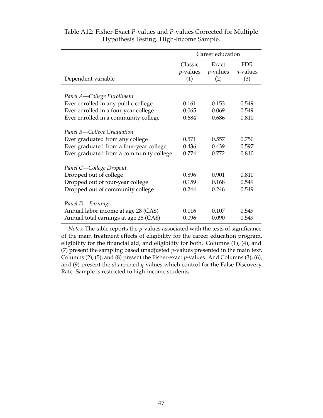|                                         | Career education |             |            |  |
|-----------------------------------------|------------------|-------------|------------|--|
|                                         | Classic          | Exact       | <b>FDR</b> |  |
|                                         | <i>p</i> -values | $p$ -values | q-values   |  |
| Dependent variable                      | (1)              | (2)         | (3)        |  |
|                                         |                  |             |            |  |
| Panel A-College Enrollment              |                  |             |            |  |
| Ever enrolled in any public college     | 0.161            | 0.153       | 0.549      |  |
| Ever enrolled in a four-year college    | 0.065            | 0.069       | 0.549      |  |
| Ever enrolled in a community college    | 0.684            | 0.686       | 0.810      |  |
| Panel B-College Graduation              |                  |             |            |  |
| Ever graduated from any college         | 0.571            | 0.557       | 0.750      |  |
| Ever graduated from a four-year college | 0.436            | 0.439       | 0.597      |  |
| Ever graduated from a community college | 0.774            | 0.772       | 0.810      |  |
| Panel C-College Dropout                 |                  |             |            |  |
| Dropped out of college                  | 0.896            | 0.901       | 0.810      |  |
| Dropped out of four-year college        | 0.159            | 0.168       | 0.549      |  |
| Dropped out of community college        | 0.244            | 0.246       | 0.549      |  |
| Panel D-Earnings                        |                  |             |            |  |
| Annual labor income at age 28 (CA\$)    | 0.116            | 0.107       | 0.549      |  |
| Annual total earnings at age 28 (CA\$)  | 0.096            | 0.090       | 0.549      |  |

## Table A12: Fisher-Exact *P*-values and *P*-values Corrected for Multiple Hypothesis Testing. High-Income Sample.

*Notes:* The table reports the *p*-values associated with the tests of significance of the main treatment effects of eligibility for the career education program, eligibility for the financial aid, and eligibility for both. Columns (1), (4), and (7) present the sampling based unadjusted *p*-values presented in the main text. Columns (2), (5), and (8) present the Fisher-exact *p*-values. And Columns (3), (6), and (9) present the sharpened *q*-values which control for the False Discovery Rate. Sample is restricted to high-income students.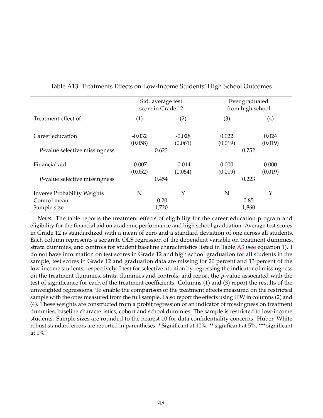|                                                    |                     | Std. average test<br>score in Grade 12 | Ever graduated<br>from high school |                  |
|----------------------------------------------------|---------------------|----------------------------------------|------------------------------------|------------------|
| Treatment effect of                                | (1)                 | (2)                                    | (3)                                | (4)              |
| Career education                                   | $-0.032$<br>(0.058) | $-0.028$<br>(0.061)                    | 0.022<br>(0.019)                   | 0.024<br>(0.019) |
| P-value selective missingness                      |                     | 0.623                                  | 0.752                              |                  |
| Financial aid                                      | $-0.007$<br>(0.052) | $-0.014$<br>(0.054)                    | 0.000<br>(0.019)                   | 0.000<br>(0.019) |
| P-value selective missingness                      |                     | 0.454                                  | 0.223                              |                  |
| <b>Inverse Probability Weights</b><br>Control mean | N                   | Y<br>$-0.20$                           | N<br>0.85                          | Y                |
| Sample size                                        |                     | 1,720                                  | 1,860                              |                  |

#### Table A13: Treatments Effects on Low-Income Students' High School Outcomes

*Notes:* The table reports the treatment effects of eligibility for the career education program and eligibility for the financial aid on academic performance and high school graduation. Average test scores in Grade 12 is standardized with a mean of zero and a standard deviation of one across all students. Each column represents a separate OLS regression of the dependent variable on treatment dummies, strata dummies, and controls for student baseline characteristics listed in Table [A3](#page-38-0) (see equation [1\)](#page-14-0). I do not have information on test scores in Grade 12 and high school graduation for all students in the sample; test scores in Grade 12 and graduation data are missing for 20 percent and 13 percent of the low-income students, respectively. I test for selective attrition by regressing the indicator of missingness on the treatment dummies, strata dummies and controls, and report the *p*-value associated with the test of significance for each of the treatment coefficients. Columns (1) and (3) report the results of the unweighted regressions. To enable the comparison of the treatment effects measured on the restricted sample with the ones measured from the full sample, I also report the effects using IPW in columns (2) and (4). These weights are constructed from a probit regression of an indicator of missingness on treatment dummies, baseline characteristics, cohort and school dummies. The sample is restricted to low-income students. Sample sizes are rounded to the nearest 10 for data confidentiality concerns. Huber–White robust standard errors are reported in parentheses. \* Significant at 10%, \*\* significant at 5%, \*\*\* significant at 1%.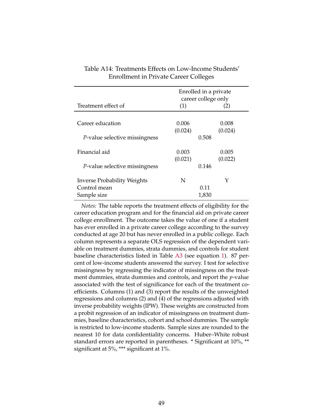|                                       |         | Enrolled in a private<br>career college only |
|---------------------------------------|---------|----------------------------------------------|
| Treatment effect of                   | (1)     | (2)                                          |
|                                       |         |                                              |
| Career education                      | 0.006   | 0.008                                        |
|                                       | (0.024) | (0.024)                                      |
| P-value selective missingness         | 0.508   |                                              |
| Financial aid                         | 0.003   | 0.005                                        |
|                                       | (0.021) | (0.022)                                      |
| <i>P</i> -value selective missingness | 0.146   |                                              |
| <b>Inverse Probability Weights</b>    | N       | Y                                            |
| Control mean                          |         | 0.11                                         |
| Sample size                           |         | 1,830                                        |

| Table A14: Treatments Effects on Low-Income Students' |  |
|-------------------------------------------------------|--|
| <b>Enrollment in Private Career Colleges</b>          |  |

*Notes:* The table reports the treatment effects of eligibility for the career education program and for the financial aid on private career college enrollment. The outcome takes the value of one if a student has ever enrolled in a private career college according to the survey conducted at age 20 but has never enrolled in a public college. Each column represents a separate OLS regression of the dependent variable on treatment dummies, strata dummies, and controls for student baseline characteristics listed in Table [A3](#page-38-0) (see equation [1\)](#page-14-0). 87 percent of low-income students answered the survey. I test for selective missingness by regressing the indicator of missingness on the treatment dummies, strata dummies and controls, and report the *p*-value associated with the test of significance for each of the treatment coefficients. Columns (1) and (3) report the results of the unweighted regressions and columns (2) and (4) of the regressions adjusted with inverse probability weights (IPW). These weights are constructed from a probit regression of an indicator of missingness on treatment dummies, baseline characteristics, cohort and school dummies. The sample is restricted to low-income students. Sample sizes are rounded to the nearest 10 for data confidentiality concerns. Huber–White robust standard errors are reported in parentheses. \* Significant at 10%, \*\* significant at 5%, \*\*\* significant at 1%.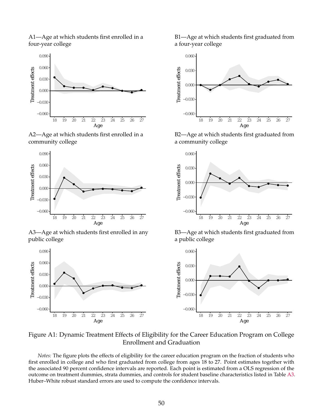A1—Age at which students first enrolled in a four-year college



A2—Age at which students first enrolled in a community college



A3—Age at which students first enrolled in any public college



B2—Age at which students first graduated from a community college



B3—Age at which students first graduated from a public college



Figure A1: Dynamic Treatment Effects of Eligibility for the Career Education Program on College Enrollment and Graduation

*Notes:* The figure plots the effects of eligibility for the career education program on the fraction of students who first enrolled in college and who first graduated from college from ages 18 to 27. Point estimates together with the associated 90 percent confidence intervals are reported. Each point is estimated from a OLS regression of the outcome on treatment dummies, strata dummies, and controls for student baseline characteristics listed in Table [A3.](#page-38-0) Huber–White robust standard errors are used to compute the confidence intervals.

B1—Age at which students first graduated from a four-year college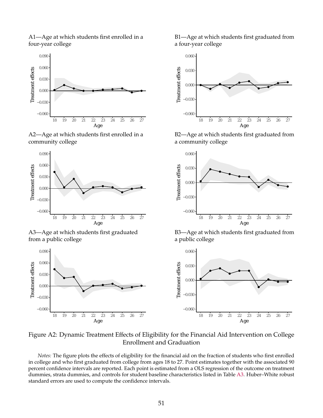A1—Age at which students first enrolled in a four-year college



A2—Age at which students first enrolled in a community college



A3—Age at which students first graduated from a public college



B2—Age at which students first graduated from a community college

Age



B3—Age at which students first graduated from a public college



Figure A2: Dynamic Treatment Effects of Eligibility for the Financial Aid Intervention on College Enrollment and Graduation

*Notes:* The figure plots the effects of eligibility for the financial aid on the fraction of students who first enrolled in college and who first graduated from college from ages 18 to 27. Point estimates together with the associated 90 percent confidence intervals are reported. Each point is estimated from a OLS regression of the outcome on treatment dummies, strata dummies, and controls for student baseline characteristics listed in Table [A3.](#page-38-0) Huber–White robust standard errors are used to compute the confidence intervals.

B1—Age at which students first graduated from a four-year college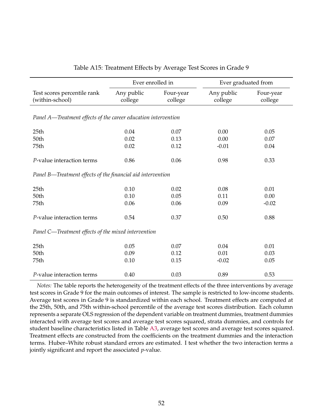|                                                                | Ever enrolled in      |                      | Ever graduated from   |                      |
|----------------------------------------------------------------|-----------------------|----------------------|-----------------------|----------------------|
| Test scores percentile rank<br>(within-school)                 | Any public<br>college | Four-year<br>college | Any public<br>college | Four-year<br>college |
| Panel A—Treatment effects of the career education intervention |                       |                      |                       |                      |
| 25 <sub>th</sub>                                               | 0.04                  | 0.07                 | 0.00                  | 0.05                 |
| 50th                                                           | 0.02                  | 0.13                 | 0.00                  | 0.07                 |
| 75th                                                           | 0.02                  | 0.12                 | $-0.01$               | 0.04                 |
| P-value interaction terms                                      | 0.86                  | 0.06                 | 0.98                  | 0.33                 |
| Panel B—Treatment effects of the financial aid intervention    |                       |                      |                       |                      |
| 25 <sub>th</sub>                                               | 0.10                  | 0.02                 | 0.08                  | 0.01                 |
| 50th                                                           | 0.10                  | 0.05                 | 0.11                  | 0.00                 |
| 75th                                                           | 0.06                  | 0.06                 | 0.09                  | $-0.02$              |
| P-value interaction terms                                      | 0.54                  | 0.37                 | 0.50                  | 0.88                 |
| Panel C—Treatment effects of the mixed intervention            |                       |                      |                       |                      |
| 25 <sub>th</sub>                                               | 0.05                  | 0.07                 | 0.04                  | 0.01                 |
| 50th                                                           | 0.09                  | 0.12                 | 0.01                  | 0.03                 |
| 75th                                                           | 0.10                  | 0.15                 | $-0.02$               | 0.05                 |
| P-value interaction terms                                      | 0.40                  | 0.03                 | 0.89                  | 0.53                 |

#### Table A15: Treatment Effects by Average Test Scores in Grade 9

*Notes:* The table reports the heterogeneity of the treatment effects of the three interventions by average test scores in Grade 9 for the main outcomes of interest. The sample is restricted to low-income students. Average test scores in Grade 9 is standardized within each school. Treatment effects are computed at the 25th, 50th, and 75th within-school percentile of the average test scores distribution. Each column represents a separate OLS regression of the dependent variable on treatment dummies, treatment dummies interacted with average test scores and average test scores squared, strata dummies, and controls for student baseline characteristics listed in Table [A3,](#page-38-0) average test scores and average test scores squared. Treatment effects are constructed from the coefficients on the treatment dummies and the interaction terms. Huber–White robust standard errors are estimated. I test whether the two interaction terms a jointly significant and report the associated *p*-value.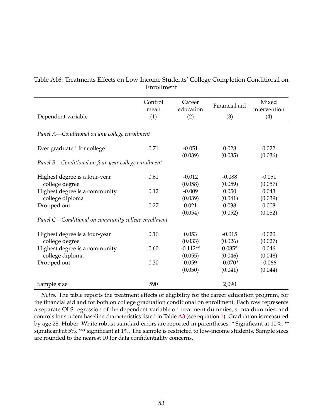|                                                     | Control<br>mean | Career<br>education | Financial aid    | Mixed<br>intervention |
|-----------------------------------------------------|-----------------|---------------------|------------------|-----------------------|
| Dependent variable                                  | (1)             | (2)                 | (3)              | (4)                   |
|                                                     |                 |                     |                  |                       |
| Panel A—Conditional on any college enrollment       |                 |                     |                  |                       |
|                                                     |                 |                     |                  |                       |
| Ever graduated for college                          | 0.71            | $-0.051$            | 0.028            | 0.022                 |
|                                                     |                 | (0.039)             | (0.035)          | (0.036)               |
| Panel B—Conditional on four-year college enrollment |                 |                     |                  |                       |
|                                                     |                 |                     |                  |                       |
| Highest degree is a four-year                       | 0.61            | $-0.012$            | $-0.088$         | $-0.051$              |
| college degree                                      |                 | (0.058)             | (0.059)          | (0.057)               |
| Highest degree is a community                       | 0.12            | $-0.009$            | 0.050            | 0.043                 |
| college diploma                                     | 0.27            | (0.039)<br>0.021    | (0.041)<br>0.038 | (0.039)<br>0.008      |
| Dropped out                                         |                 | (0.054)             | (0.052)          | (0.052)               |
| Panel C-Conditional on community college enrollment |                 |                     |                  |                       |
|                                                     |                 |                     |                  |                       |
| Highest degree is a four-year                       | 0.10            | 0.053               | $-0.015$         | 0.020                 |
| college degree                                      |                 | (0.033)             | (0.026)          | (0.027)               |
| Highest degree is a community                       | 0.60            | $-0.112**$          | $0.085*$         | 0.046                 |
| college diploma                                     |                 | (0.055)             | (0.046)          | (0.048)               |
| Dropped out                                         | 0.30            | 0.059               | $-0.070*$        | $-0.066$              |
|                                                     |                 | (0.050)             | (0.041)          | (0.044)               |
| Sample size                                         | 590             |                     | 2,090            |                       |

# Table A16: Treatments Effects on Low-Income Students' College Completion Conditional on Enrollment

*Notes:* The table reports the treatment effects of eligibility for the career education program, for the financial aid and for both on college graduation conditional on enrollment. Each row represents a separate OLS regression of the dependent variable on treatment dummies, strata dummies, and controls for student baseline characteristics listed in Table [A3](#page-38-0) (see equation [1\)](#page-14-0). Graduation is measured by age 28. Huber–White robust standard errors are reported in parentheses. \* Significant at 10%, \*\* significant at 5%, \*\*\* significant at 1%. The sample is restricted to low-income students. Sample sizes are rounded to the nearest 10 for data confidentiality concerns.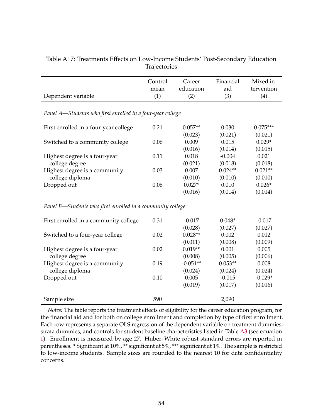|                    | TIMPCCOTICO      |           |           |            |
|--------------------|------------------|-----------|-----------|------------|
|                    | Control          | Career    | Financial | Mixed in-  |
|                    | mean             | education | aid       | tervention |
| Dependent variable | $\left(1\right)$ | (2)       | (3)       | (4)        |

## Table A17: Treatments Effects on Low-Income Students' Post-Secondary Education **Trajectories**

*Panel A—Students who first enrolled in a four-year college*

|                                       | 0.21 | $0.057**$ | 0.030     | $0.075***$ |
|---------------------------------------|------|-----------|-----------|------------|
| First enrolled in a four-year college |      |           |           |            |
|                                       |      | (0.023)   | (0.021)   | (0.021)    |
| Switched to a community college       | 0.06 | 0.009     | 0.015     | $0.029*$   |
|                                       |      | (0.016)   | (0.014)   | (0.015)    |
| Highest degree is a four-year         | 0.11 | 0.018     | $-0.004$  | 0.021      |
| college degree                        |      | (0.021)   | (0.018)   | (0.018)    |
| Highest degree is a community         | 0.03 | 0.007     | $0.024**$ | $0.021**$  |
| college diploma                       |      | (0.010)   | (0.010)   | (0.010)    |
| Dropped out                           | 0.06 | $0.027*$  | 0.010     | $0.026*$   |
|                                       |      | (0.016)   | (0.014)   | (0.014)    |

*Panel B—Students who first enrolled in a community college*

| First enrolled in a community college | 0.31 | $-0.017$   | $0.048*$  | $-0.017$  |
|---------------------------------------|------|------------|-----------|-----------|
|                                       |      | (0.028)    | (0.027)   | (0.027)   |
| Switched to a four-year college       | 0.02 | $0.028**$  | 0.002     | 0.012     |
|                                       |      | (0.011)    | (0.008)   | (0.009)   |
| Highest degree is a four-year         | 0.02 | $0.019**$  | 0.001     | 0.005     |
| college degree                        |      | (0.008)    | (0.005)   | (0.006)   |
| Highest degree is a community         | 0.19 | $-0.051**$ | $0.053**$ | 0.008     |
| college diploma                       |      | (0.024)    | (0.024)   | (0.024)   |
| Dropped out                           | 0.10 | 0.005      | $-0.015$  | $-0.029*$ |
|                                       |      | (0.019)    | (0.017)   | (0.016)   |
| Sample size                           | 590  |            | 2,090     |           |

*Notes:* The table reports the treatment effects of eligibility for the career education program, for the financial aid and for both on college enrollment and completion by type of first enrollment. Each row represents a separate OLS regression of the dependent variable on treatment dummies, strata dummies, and controls for student baseline characteristics listed in Table [A3](#page-38-0) (see equation [1\)](#page-14-0). Enrollment is measured by age 27. Huber–White robust standard errors are reported in parentheses. \* Significant at 10%, \*\* significant at 5%, \*\*\* significant at 1%. The sample is restricted to low-income students. Sample sizes are rounded to the nearest 10 for data confidentiality concerns.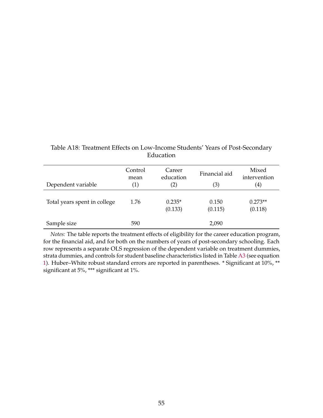| Dependent variable           | Control<br>mean<br>(1) | Career<br>education<br>$\rm(2)$ | Financial aid<br>(3) | Mixed<br>intervention<br>$\left( 4\right)$ |
|------------------------------|------------------------|---------------------------------|----------------------|--------------------------------------------|
| Total years spent in college | 1.76                   | $0.235*$<br>(0.133)             | 0.150<br>(0.115)     | $0.273**$<br>(0.118)                       |
| Sample size                  | 590                    |                                 | 2,090                |                                            |

# Table A18: Treatment Effects on Low-Income Students' Years of Post-Secondary Education

*Notes:* The table reports the treatment effects of eligibility for the career education program, for the financial aid, and for both on the numbers of years of post-secondary schooling. Each row represents a separate OLS regression of the dependent variable on treatment dummies, strata dummies, and controls for student baseline characteristics listed in Table [A3](#page-38-0) (see equation [1\)](#page-14-0). Huber–White robust standard errors are reported in parentheses. \* Significant at 10%, \*\* significant at 5%, \*\*\* significant at 1%.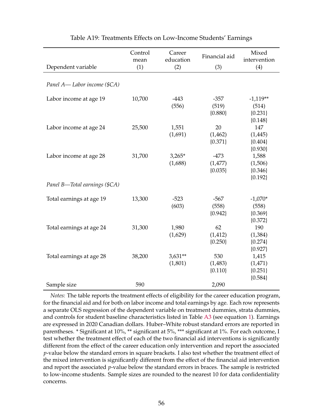|                               | Control<br>mean | Career<br>education  | Financial aid                  | Mixed<br>intervention                         |
|-------------------------------|-----------------|----------------------|--------------------------------|-----------------------------------------------|
| Dependent variable            | (1)             | (2)                  | (3)                            | (4)                                           |
| Panel A-Labor income (\$CA)   |                 |                      |                                |                                               |
| Labor income at age 19        | 10,700          | $-443$<br>(556)      | $-357$<br>(519)<br>${0.880}$   | $-1,119**$<br>(514)<br>${0.231}$<br>${0.148}$ |
| Labor income at age 24        | 25,500          | 1,551<br>(1,691)     | 20<br>(1,462)<br>${0.371}$     | 147<br>(1,445)<br>${0.404}$<br>${0.930}$      |
| Labor income at age 28        | 31,700          | $3,265*$<br>(1,688)  | $-473$<br>(1,477)<br>${0.035}$ | 1,588<br>(1,506)<br>${0.346}$<br>${0.192}$    |
| Panel B-Total earnings (\$CA) |                 |                      |                                |                                               |
| Total earnings at age 19      | 13,300          | $-523$<br>(603)      | $-567$<br>(558)<br>${0.942}$   | $-1,070*$<br>(558)<br>${0.369}$<br>${0.372}$  |
| Total earnings at age 24      | 31,300          | 1,980<br>(1,629)     | 62<br>(1, 412)<br>${0.250}$    | 190<br>(1,384)<br>${0.274}$<br>${0.927}$      |
| Total earnings at age 28      | 38,200          | $3,631**$<br>(1,801) | 530<br>(1,483)<br>${0.110}$    | 1,415<br>(1,471)<br>${0.251}$<br>${0.584}$    |
| Sample size                   | 590             |                      | 2,090                          |                                               |

Table A19: Treatments Effects on Low-Income Students' Earnings

*Notes:* The table reports the treatment effects of eligibility for the career education program, for the financial aid and for both on labor income and total earnings by age. Each row represents a separate OLS regression of the dependent variable on treatment dummies, strata dummies, and controls for student baseline characteristics listed in Table [A3](#page-38-0) (see equation [1\)](#page-14-0). Earnings are expressed in 2020 Canadian dollars. Huber–White robust standard errors are reported in parentheses. \* Significant at 10%, \*\* significant at 5%, \*\*\* significant at 1%. For each outcome, I test whether the treatment effect of each of the two financial aid interventions is significantly different from the effect of the career education only intervention and report the associated *p*-value below the standard errors in square brackets. I also test whether the treatment effect of the mixed intervention is significantly different from the effect of the financial aid intervention and report the associated *p*-value below the standard errors in braces. The sample is restricted to low-income students. Sample sizes are rounded to the nearest 10 for data confidentiality concerns.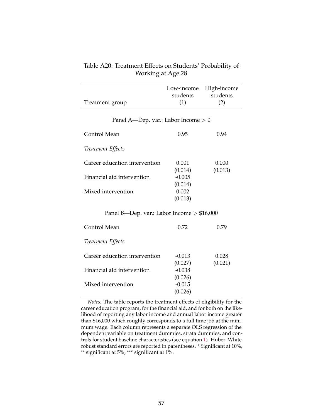|                 |          | Low-income High-income |
|-----------------|----------|------------------------|
|                 | students | students               |
| Treatment group | (1)      | (2)                    |
|                 |          |                        |

#### Table A20: Treatment Effects on Students' Probability of Working at Age 28

#### Panel A—Dep. var.: Labor Income > 0

| Control Mean                  | 0.95     | 0.94    |
|-------------------------------|----------|---------|
| Treatment Effects             |          |         |
| Career education intervention | 0.001    | 0.000   |
|                               | (0.014)  | (0.013) |
| Financial aid intervention    | $-0.005$ |         |
|                               | (0.014)  |         |
| Mixed intervention            | 0.002    |         |
|                               | (0.013)  |         |

#### Panel B—Dep. var.: Labor Income > \$16,000

| Control Mean                  | 0.72                | 0.79             |
|-------------------------------|---------------------|------------------|
| Treatment Effects             |                     |                  |
| Career education intervention | $-0.013$<br>(0.027) | 0.028<br>(0.021) |
| Financial aid intervention    | $-0.038$<br>(0.026) |                  |
| Mixed intervention            | $-0.015$<br>(0.026) |                  |

*Notes:* The table reports the treatment effects of eligibility for the career education program, for the financial aid, and for both on the likelihood of reporting any labor income and annual labor income greater than \$16,000 which roughly corresponds to a full time job at the minimum wage. Each column represents a separate OLS regression of the dependent variable on treatment dummies, strata dummies, and controls for student baseline characteristics (see equation [1\)](#page-14-0). Huber–White robust standard errors are reported in parentheses. \* Significant at 10%, \*\* significant at 5%, \*\*\* significant at 1%.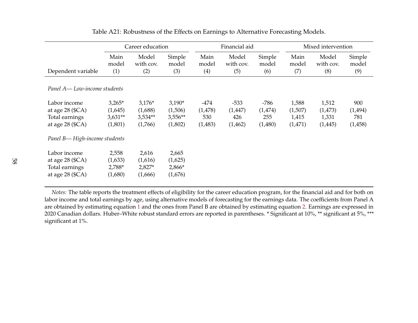|                                                                            |                                             | Career education                            |                                             |                                     | Financial aid                        |                                   |                                      | Mixed intervention                    |                                  |  |
|----------------------------------------------------------------------------|---------------------------------------------|---------------------------------------------|---------------------------------------------|-------------------------------------|--------------------------------------|-----------------------------------|--------------------------------------|---------------------------------------|----------------------------------|--|
| Dependent variable                                                         | Main<br>model<br>(1)                        | Model<br>with cov.<br>(2)                   | Simple<br>model<br>(3)                      | Main<br>model<br>(4)                | Model<br>with cov.<br>(5)            | Simple<br>model<br>(6)            | Main<br>model<br>(7)                 | Model<br>with cov.<br>(8)             | Simple<br>model<br>(9)           |  |
| Panel A-Low-income students                                                |                                             |                                             |                                             |                                     |                                      |                                   |                                      |                                       |                                  |  |
| Labor income<br>at age $28$ (\$CA)<br>Total earnings<br>at age $28$ (\$CA) | $3,265*$<br>(1,645)<br>$3,631**$<br>(1,801) | $3,176*$<br>(1,688)<br>$3,534**$<br>(1,766) | $3,190*$<br>(1,506)<br>$3,556**$<br>(1,802) | $-474$<br>(1,478)<br>530<br>(1,483) | $-533$<br>(1, 447)<br>426<br>(1,462) | -786<br>(1,474)<br>255<br>(1,480) | 1,588<br>(1,507)<br>1,415<br>(1,471) | 1,512<br>(1, 473)<br>1,331<br>(1,445) | 900<br>(1,494)<br>781<br>(1,458) |  |
| Panel B-High-income students                                               |                                             |                                             |                                             |                                     |                                      |                                   |                                      |                                       |                                  |  |
| Labor income<br>at age $28$ (\$CA)<br>Total earnings<br>at age 28 (\$CA)   | 2,558<br>(1,633)<br>2,788*<br>(1,680)       | 2,616<br>(1,616)<br>$2,827*$<br>(1,666)     | 2,665<br>(1,625)<br>2,866*<br>(1,676)       |                                     |                                      |                                   |                                      |                                       |                                  |  |

Table A21: Robustness of the Effects on Earnings to Alternative Forecasting Models.

*Notes:* The table reports the treatment effects of eligibility for the career education program, for the financial aid and for both on labor income and total earnings by age, using alternative models of forecasting for the earnings data. The coefficients from Panel <sup>A</sup> are obtained by estimating equation [1](#page-14-1) and the ones from Panel <sup>B</sup> are obtained by estimating equation [2.](#page-15-0) Earnings are expressed in 2020 Canadian dollars. Huber–White robust standard errors are reported in parentheses. \* Significant at 10%, \*\* significant at 5%, \*\*\*significant at 1%.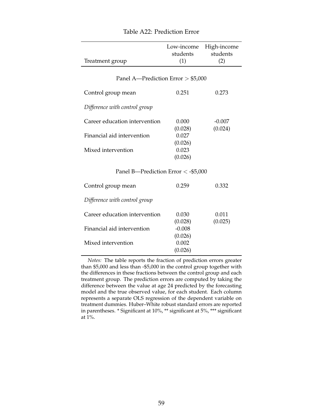|                                      | Low-income<br>students | High-income<br>students |
|--------------------------------------|------------------------|-------------------------|
| Treatment group                      | (1)                    | (2)                     |
| Panel A—Prediction Error $>$ \$5,000 |                        |                         |
| Control group mean                   | 0.251                  | 0.273                   |
| Difference with control group        |                        |                         |
| Career education intervention        | 0.000<br>(0.028)       | $-0.007$<br>(0.024)     |
| Financial aid intervention           | 0.027<br>(0.026)       |                         |
| Mixed intervention                   | 0.023<br>(0.026)       |                         |
| Panel B-Prediction Error < -\$5,000  |                        |                         |
| Control group mean                   | 0.259                  | 0.332                   |
| Difference with control group        |                        |                         |
| Career education intervention        | 0.030<br>(0.028)       | 0.011<br>(0.025)        |
| Financial aid intervention           | $-0.008$<br>(0.026)    |                         |
| Mixed intervention                   | 0.002<br>(0.026)       |                         |
|                                      |                        |                         |

#### Table A22: Prediction Error

*Notes:* The table reports the fraction of prediction errors greater than \$5,000 and less than -\$5,000 in the control group together with the differences in these fractions between the control group and each treatment group. The prediction errors are computed by taking the difference between the value at age 24 predicted by the forecasting model and the true observed value, for each student. Each column represents a separate OLS regression of the dependent variable on treatment dummies. Huber–White robust standard errors are reported in parentheses. \* Significant at 10%, \*\* significant at 5%, \*\*\* significant at 1%.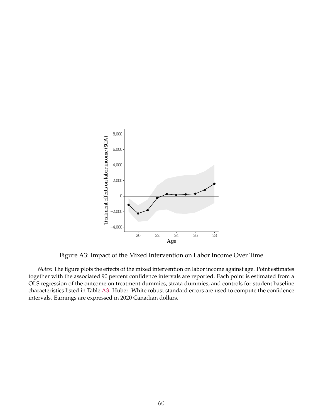

Figure A3: Impact of the Mixed Intervention on Labor Income Over Time

*Notes:* The figure plots the effects of the mixed intervention on labor income against age. Point estimates together with the associated 90 percent confidence intervals are reported. Each point is estimated from a OLS regression of the outcome on treatment dummies, strata dummies, and controls for student baseline characteristics listed in Table [A3.](#page-38-0) Huber–White robust standard errors are used to compute the confidence intervals. Earnings are expressed in 2020 Canadian dollars.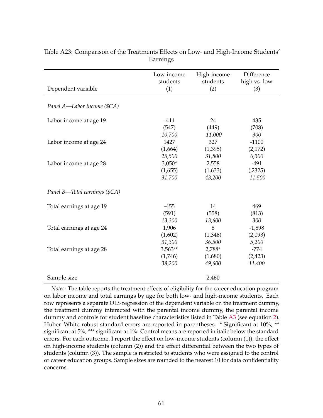| Dependent variable            | Low-income<br>students<br>(1) | High-income<br>students<br>(2) | Difference<br>high vs. low<br>(3) |
|-------------------------------|-------------------------------|--------------------------------|-----------------------------------|
|                               |                               |                                |                                   |
| Panel A-Labor income (\$CA)   |                               |                                |                                   |
|                               |                               |                                |                                   |
| Labor income at age 19        | $-411$                        | 24                             | 435                               |
|                               | (547)                         | (449)                          | (708)                             |
|                               | 10,700                        | 11,000                         | 300                               |
| Labor income at age 24        | 1427                          | 327                            | $-1100$                           |
|                               | (1,664)                       | (1,395)                        | (2,172)                           |
|                               | 25,500                        | 31,800                         | 6,300                             |
| Labor income at age 28        | $3,050*$                      | 2,558                          | $-491$                            |
|                               | (1,655)                       | (1,633)                        | (.2325)                           |
|                               | 31,700                        | 43,200                         | 11,500                            |
| Panel B—Total earnings (\$CA) |                               |                                |                                   |
| Total earnings at age 19      | $-455$                        | 14                             | 469                               |
|                               | (591)                         | (558)                          | (813)                             |
|                               | 13,300                        | 13,600                         | 300                               |
| Total earnings at age 24      | 1,906                         | 8                              | $-1,898$                          |
|                               | (1,602)                       | (1,346)                        | (2,093)                           |
|                               | 31,300                        | 36,500                         | 5,200                             |
| Total earnings at age 28      | $3,563**$                     | 2,788*                         | $-774$                            |
|                               | (1,746)                       | (1,680)                        | (2, 423)                          |
|                               | 38,200                        | 49,600                         | 11,400                            |
| Sample size                   |                               | 2,460                          |                                   |

Table A23: Comparison of the Treatments Effects on Low- and High-Income Students' Earnings

*Notes:* The table reports the treatment effects of eligibility for the career education program on labor income and total earnings by age for both low- and high-income students. Each row represents a separate OLS regression of the dependent variable on the treatment dummy, the treatment dummy interacted with the parental income dummy, the parental income dummy and controls for student baseline characteristics listed in Table [A3](#page-38-0) (see equation [2\)](#page-15-1). Huber–White robust standard errors are reported in parentheses. \* Significant at 10%, \*\* significant at 5%, \*\*\* significant at 1%. Control means are reported in italic below the standard errors. For each outcome, I report the effect on low-income students (column (1)), the effect on high-income students (column (2)) and the effect differential between the two types of students (column (3)). The sample is restricted to students who were assigned to the control or career education groups. Sample sizes are rounded to the nearest 10 for data confidentiality concerns.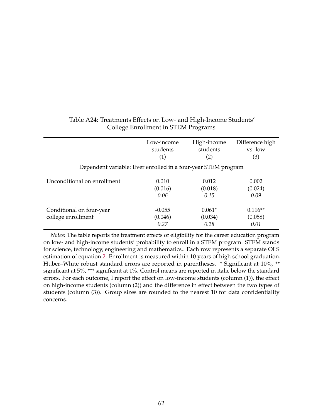|                                                               | Low-income                  | High-income                 | Difference high              |
|---------------------------------------------------------------|-----------------------------|-----------------------------|------------------------------|
|                                                               | students                    | students                    | vs. low                      |
|                                                               | (1)                         | (2)                         | (3)                          |
| Dependent variable: Ever enrolled in a four-year STEM program |                             |                             |                              |
| Unconditional on enrollment                                   | 0.010                       | 0.012                       | 0.002                        |
|                                                               | (0.016)                     | (0.018)                     | (0.024)                      |
|                                                               | 0.06                        | 0.15                        | 0.09                         |
| Conditional on four-year<br>college enrollment                | $-0.055$<br>(0.046)<br>0.27 | $0.061*$<br>(0.034)<br>0.28 | $0.116**$<br>(0.058)<br>0.01 |

### Table A24: Treatments Effects on Low- and High-Income Students' College Enrollment in STEM Programs

*Notes:* The table reports the treatment effects of eligibility for the career education program on low- and high-income students' probability to enroll in a STEM program. STEM stands for science, technology, engineering and mathematics.. Each row represents a separate OLS estimation of equation [2.](#page-15-1) Enrollment is measured within 10 years of high school graduation. Huber–White robust standard errors are reported in parentheses. \* Significant at 10%, \*\* significant at 5%, \*\*\* significant at 1%. Control means are reported in italic below the standard errors. For each outcome, I report the effect on low-income students (column (1)), the effect on high-income students (column (2)) and the difference in effect between the two types of students (column (3)). Group sizes are rounded to the nearest 10 for data confidentiality concerns.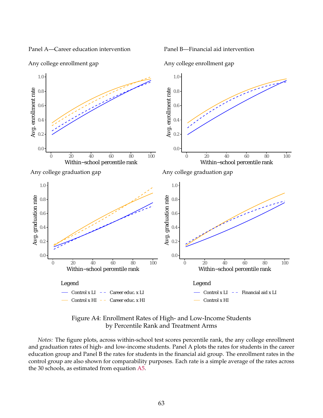Panel A—Career education intervention

Panel B—Financial aid intervention



Any college enrollment gap

Any college enrollment gap

Figure A4: Enrollment Rates of High- and Low-Income Students by Percentile Rank and Treatment Arms

*Notes:* The figure plots, across within-school test scores percentile rank, the any college enrollment and graduation rates of high- and low-income students. Panel A plots the rates for students in the career education group and Panel B the rates for students in the financial aid group. The enrollment rates in the control group are also shown for comparability purposes. Each rate is a simple average of the rates across the 30 schools, as estimated from equation [A5.](#page-74-0)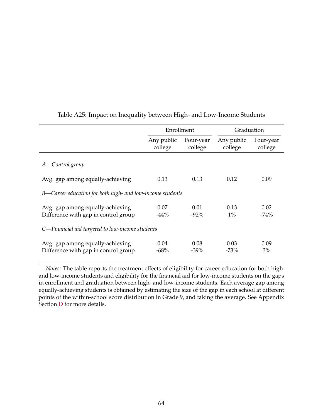|                                                                          | Enrollment            |                      | Graduation            |                      |  |  |
|--------------------------------------------------------------------------|-----------------------|----------------------|-----------------------|----------------------|--|--|
|                                                                          | Any public<br>college | Four-year<br>college | Any public<br>college | Four-year<br>college |  |  |
| A-Control group                                                          |                       |                      |                       |                      |  |  |
| Avg. gap among equally-achieving                                         | 0.13                  | 0.13                 | 0.12                  | 0.09                 |  |  |
| B—Career education for both high- and low-income students                |                       |                      |                       |                      |  |  |
| Avg. gap among equally-achieving<br>Difference with gap in control group | 0.07<br>$-44%$        | 0.01<br>$-92%$       | 0.13<br>$1\%$         | 0.02<br>$-74%$       |  |  |
| C-Financial aid targeted to low-income students                          |                       |                      |                       |                      |  |  |
| Avg. gap among equally-achieving<br>Difference with gap in control group | 0.04<br>$-68%$        | 0.08<br>$-39\%$      | 0.03<br>$-73%$        | 0.09<br>3%           |  |  |

#### Table A25: Impact on Inequality between High- and Low-Income Students

*Notes:* The table reports the treatment effects of eligibility for career education for both highand low-income students and eligibility for the financial aid for low-income students on the gaps in enrollment and graduation between high- and low-income students. Each average gap among equally-achieving students is obtained by estimating the size of the gap in each school at different points of the within-school score distribution in Grade 9, and taking the average. See Appendix Section [D](#page-74-1) for more details.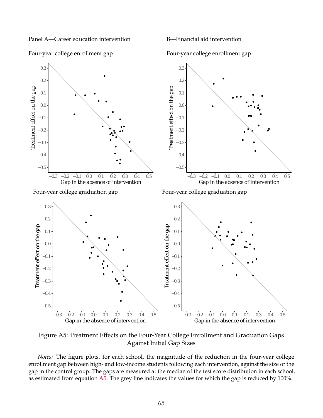Panel A—Career education intervention

Four-year college enrollment gap

B—Financial aid intervention

Four-year college enrollment gap



Figure A5: Treatment Effects on the Four-Year College Enrollment and Graduation Gaps Against Initial Gap Sizes

*Notes:* The figure plots, for each school, the magnitude of the reduction in the four-year college enrollment gap between high- and low-income students following each intervention, against the size of the gap in the control group. The gaps are measured at the median of the test score distribution in each school, as estimated from equation [A5.](#page-74-0) The grey line indicates the values for which the gap is reduced by 100%.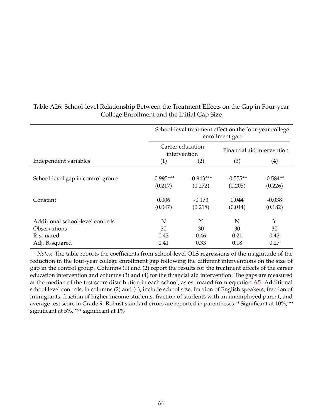|                                                               | School-level treatment effect on the four-year college<br>enrollment gap |                                    |                                |                                   |  |
|---------------------------------------------------------------|--------------------------------------------------------------------------|------------------------------------|--------------------------------|-----------------------------------|--|
|                                                               | Career education<br>intervention                                         |                                    | Financial aid intervention     |                                   |  |
| Independent variables                                         | (1)                                                                      | (2)                                | (3)<br>(4)                     |                                   |  |
| School-level gap in control group<br>Constant                 | $-0.995***$<br>(0.217)<br>0.006                                          | $-0.943***$<br>(0.272)<br>$-0.173$ | $-0.555**$<br>(0.205)<br>0.044 | $-0.584**$<br>(0.226)<br>$-0.038$ |  |
|                                                               | (0.047)                                                                  | (0.218)                            | (0.044)                        | (0.182)                           |  |
| Additional school-level controls<br>Observations<br>R-squared | N<br>30<br>0.43                                                          | Y<br>30<br>0.46                    | N<br>30<br>0.21                | Y<br>30<br>0.42                   |  |
| Adj. R-squared                                                | 0.41                                                                     | 0.33                               | 0.18                           | 0.27                              |  |

Table A26: School-level Relationship Between the Treatment Effects on the Gap in Four-year College Enrollment and the Initial Gap Size

*Notes:* The table reports the coefficients from school-level OLS regressions of the magnitude of the reduction in the four-year college enrollment gap following the different interventions on the size of gap in the control group. Columns (1) and (2) report the results for the treatment effects of the career education intervention and columns (3) and (4) for the financial aid intervention. The gaps are measured at the median of the test score distribution in each school, as estimated from equation [A5.](#page-74-0) Additional school level controls, in columns (2) and (4), include school size, fraction of English speakers, fraction of immigrants, fraction of higher-income students, fraction of students with an unemployed parent, and average test score in Grade 9. Robust standard errors are reported in parentheses. \* Significant at 10%, \*\* significant at 5%, \*\*\* significant at 1%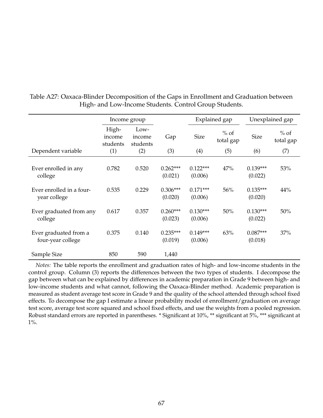|                                            | Income group                |                            |                       | Explained gap         |                     | Unexplained gap       |                     |
|--------------------------------------------|-----------------------------|----------------------------|-----------------------|-----------------------|---------------------|-----------------------|---------------------|
|                                            | High-<br>income<br>students | Low-<br>income<br>students | Gap                   | <b>Size</b>           | $%$ of<br>total gap | <b>Size</b>           | $%$ of<br>total gap |
| Dependent variable                         | (1)                         | (2)                        | (3)                   | (4)                   | (5)                 | (6)                   | (7)                 |
| Ever enrolled in any<br>college            | 0.782                       | 0.520                      | $0.262***$<br>(0.021) | $0.122***$<br>(0.006) | 47%                 | $0.139***$<br>(0.022) | 53%                 |
| Ever enrolled in a four-<br>year college   | 0.535                       | 0.229                      | $0.306***$<br>(0.020) | $0.171***$<br>(0.006) | 56%                 | $0.135***$<br>(0.020) | 44%                 |
| Ever graduated from any<br>college         | 0.617                       | 0.357                      | $0.260***$<br>(0.023) | $0.130***$<br>(0.006) | 50%                 | $0.130***$<br>(0.022) | 50%                 |
| Ever graduated from a<br>four-year college | 0.375                       | 0.140                      | $0.235***$<br>(0.019) | $0.149***$<br>(0.006) | 63%                 | $0.087***$<br>(0.018) | 37%                 |
| Sample Size                                | 850                         | 590                        | 1,440                 |                       |                     |                       |                     |

Table A27: Oaxaca-Blinder Decomposition of the Gaps in Enrollment and Graduation between High- and Low-Income Students. Control Group Students.

*Notes:* The table reports the enrollment and graduation rates of high- and low-income students in the control group. Column (3) reports the differences between the two types of students. I decompose the gap between what can be explained by differences in academic preparation in Grade 9 between high- and low-income students and what cannot, following the Oaxaca-Blinder method. Academic preparation is measured as student average test score in Grade 9 and the quality of the school attended through school fixed effects. To decompose the gap I estimate a linear probability model of enrollment/graduation on average test score, average test score squared and school fixed effects, and use the weights from a pooled regression. Robust standard errors are reported in parentheses. \* Significant at 10%, \*\* significant at 5%, \*\*\* significant at 1%.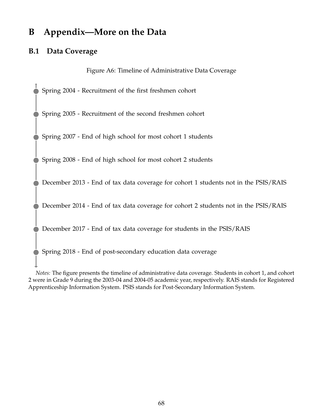# **B Appendix—More on the Data**

# **B.1 Data Coverage**

Figure A6: Timeline of Administrative Data Coverage

Spring 2004 - Recruitment of the first freshmen cohort

Spring 2005 - Recruitment of the second freshmen cohort

Spring 2007 - End of high school for most cohort 1 students

Spring 2008 - End of high school for most cohort 2 students

December 2013 - End of tax data coverage for cohort 1 students not in the PSIS/RAIS

December 2014 - End of tax data coverage for cohort 2 students not in the PSIS/RAIS

December 2017 - End of tax data coverage for students in the PSIS/RAIS

Spring 2018 - End of post-secondary education data coverage

*Notes:* The figure presents the timeline of administrative data coverage. Students in cohort 1, and cohort 2 were in Grade 9 during the 2003-04 and 2004-05 academic year, respectively. RAIS stands for Registered Apprenticeship Information System. PSIS stands for Post-Secondary Information System.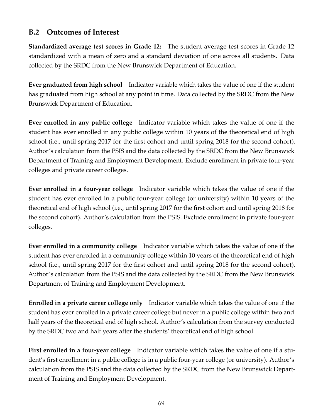# **B.2 Outcomes of Interest**

**Standardized average test scores in Grade 12:** The student average test scores in Grade 12 standardized with a mean of zero and a standard deviation of one across all students. Data collected by the SRDC from the New Brunswick Department of Education.

**Ever graduated from high school** Indicator variable which takes the value of one if the student has graduated from high school at any point in time. Data collected by the SRDC from the New Brunswick Department of Education.

**Ever enrolled in any public college** Indicator variable which takes the value of one if the student has ever enrolled in any public college within 10 years of the theoretical end of high school (i.e., until spring 2017 for the first cohort and until spring 2018 for the second cohort). Author's calculation from the PSIS and the data collected by the SRDC from the New Brunswick Department of Training and Employment Development. Exclude enrollment in private four-year colleges and private career colleges.

**Ever enrolled in a four-year college** Indicator variable which takes the value of one if the student has ever enrolled in a public four-year college (or university) within 10 years of the theoretical end of high school (i.e., until spring 2017 for the first cohort and until spring 2018 for the second cohort). Author's calculation from the PSIS. Exclude enrollment in private four-year colleges.

**Ever enrolled in a community college** Indicator variable which takes the value of one if the student has ever enrolled in a community college within 10 years of the theoretical end of high school (i.e., until spring 2017 for the first cohort and until spring 2018 for the second cohort). Author's calculation from the PSIS and the data collected by the SRDC from the New Brunswick Department of Training and Employment Development.

**Enrolled in a private career college only** Indicator variable which takes the value of one if the student has ever enrolled in a private career college but never in a public college within two and half years of the theoretical end of high school. Author's calculation from the survey conducted by the SRDC two and half years after the students' theoretical end of high school.

**First enrolled in a four-year college** Indicator variable which takes the value of one if a student's first enrollment in a public college is in a public four-year college (or university). Author's calculation from the PSIS and the data collected by the SRDC from the New Brunswick Department of Training and Employment Development.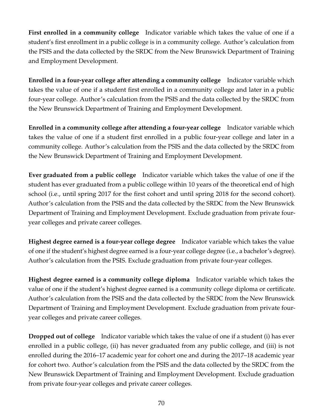**First enrolled in a community college** Indicator variable which takes the value of one if a student's first enrollment in a public college is in a community college. Author's calculation from the PSIS and the data collected by the SRDC from the New Brunswick Department of Training and Employment Development.

**Enrolled in a four-year college after attending a community college** Indicator variable which takes the value of one if a student first enrolled in a community college and later in a public four-year college. Author's calculation from the PSIS and the data collected by the SRDC from the New Brunswick Department of Training and Employment Development.

**Enrolled in a community college after attending a four-year college** Indicator variable which takes the value of one if a student first enrolled in a public four-year college and later in a community college. Author's calculation from the PSIS and the data collected by the SRDC from the New Brunswick Department of Training and Employment Development.

**Ever graduated from a public college** Indicator variable which takes the value of one if the student has ever graduated from a public college within 10 years of the theoretical end of high school (i.e., until spring 2017 for the first cohort and until spring 2018 for the second cohort). Author's calculation from the PSIS and the data collected by the SRDC from the New Brunswick Department of Training and Employment Development. Exclude graduation from private fouryear colleges and private career colleges.

**Highest degree earned is a four-year college degree** Indicator variable which takes the value of one if the student's highest degree earned is a four-year college degree (i.e., a bachelor's degree). Author's calculation from the PSIS. Exclude graduation from private four-year colleges.

**Highest degree earned is a community college diploma** Indicator variable which takes the value of one if the student's highest degree earned is a community college diploma or certificate. Author's calculation from the PSIS and the data collected by the SRDC from the New Brunswick Department of Training and Employment Development. Exclude graduation from private fouryear colleges and private career colleges.

**Dropped out of college** Indicator variable which takes the value of one if a student (i) has ever enrolled in a public college, (ii) has never graduated from any public college, and (iii) is not enrolled during the 2016–17 academic year for cohort one and during the 2017–18 academic year for cohort two. Author's calculation from the PSIS and the data collected by the SRDC from the New Brunswick Department of Training and Employment Development. Exclude graduation from private four-year colleges and private career colleges.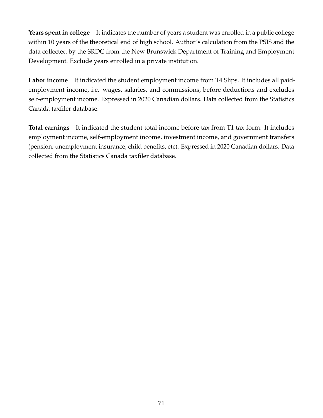**Years spent in college** It indicates the number of years a student was enrolled in a public college within 10 years of the theoretical end of high school. Author's calculation from the PSIS and the data collected by the SRDC from the New Brunswick Department of Training and Employment Development. Exclude years enrolled in a private institution.

**Labor income** It indicated the student employment income from T4 Slips. It includes all paidemployment income, i.e. wages, salaries, and commissions, before deductions and excludes self-employment income. Expressed in 2020 Canadian dollars. Data collected from the Statistics Canada taxfiler database.

**Total earnings** It indicated the student total income before tax from T1 tax form. It includes employment income, self-employment income, investment income, and government transfers (pension, unemployment insurance, child benefits, etc). Expressed in 2020 Canadian dollars. Data collected from the Statistics Canada taxfiler database.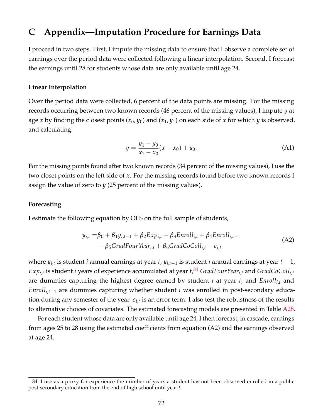## **C Appendix—Imputation Procedure for Earnings Data**

I proceed in two steps. First, I impute the missing data to ensure that I observe a complete set of earnings over the period data were collected following a linear interpolation. Second, I forecast the earnings until 28 for students whose data are only available until age 24.

## **Linear Interpolation**

Over the period data were collected, 6 percent of the data points are missing. For the missing records occurring between two known records (46 percent of the missing values), I impute *y* at age *x* by finding the closest points (*x*0, *y*0) and (*x*1, *y*1) on each side of *x* for which *y* is observed, and calculating:

<span id="page-72-1"></span>
$$
y = \frac{y_1 - y_0}{x_1 - x_0}(x - x_0) + y_0.
$$
 (A1)

For the missing points found after two known records (34 percent of the missing values), I use the two closet points on the left side of *x*. For the missing records found before two known records I assign the value of zero to *y* (25 percent of the missing values).

## **Forecasting**

I estimate the following equation by OLS on the full sample of students,

$$
y_{i,t} = \beta_0 + \beta_1 y_{i,t-1} + \beta_2 Exp_{i,t} + \beta_3 Enroll_{i,t} + \beta_4 Enroll_{i,t-1}
$$
  
+ 
$$
\beta_5 GradFourYear_{i,t} + \beta_6 GradCoColl_{i,t} + \epsilon_{i,t}
$$
 (A2)

where *yi*,*<sup>t</sup>* is student *i* annual earnings at year *t*, *yi*,*t*−<sup>1</sup> is student *i* annual earnings at year *t* − 1,  $Exp_{i,t}$  is student *i* years of experience accumulated at year  $t, ^{34}$  $t, ^{34}$  $t, ^{34}$  *GradFourYear* $_{i,t}$  and *GradCoColl* $_{i,t}$ are dummies capturing the highest degree earned by student *i* at year *t*, and *Enrolli*,*<sup>t</sup>* and *Enrolli*,*t*−<sup>1</sup> are dummies capturing whether student *i* was enrolled in post-secondary education during any semester of the year. *ei*,*<sup>t</sup>* is an error term. I also test the robustness of the results to alternative choices of covariates. The estimated forecasting models are presented in Table [A28.](#page-73-0)

For each student whose data are only available until age 24, I then forecast, in cascade, earnings from ages 25 to 28 using the estimated coefficients from equation (A2) and the earnings observed at age 24.

<span id="page-72-0"></span><sup>34.</sup> I use as a proxy for experience the number of years a student has not been observed enrolled in a public post-secondary education from the end of high school until year *t*.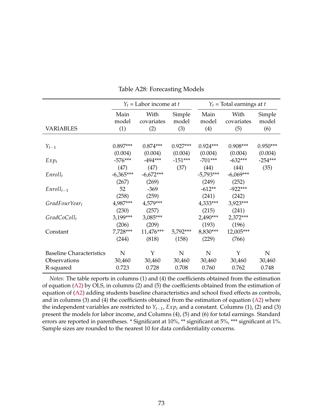<span id="page-73-0"></span>

|                                 | $Y_t$ = Labor income at t |             |            | $Y_t$ = Total earnings at t |             |            |
|---------------------------------|---------------------------|-------------|------------|-----------------------------|-------------|------------|
|                                 | Main                      | With        | Simple     | Main                        | With        | Simple     |
|                                 | model                     | covariates  | model      | model                       | covariates  | model      |
| <b>VARIABLES</b>                | (1)                       | (2)         | (3)        | (4)                         | (5)         | (6)        |
|                                 |                           |             |            |                             |             |            |
| $Y_{t-1}$                       | $0.897***$                | $0.874***$  | $0.927***$ | $0.924***$                  | $0.908***$  | $0.950***$ |
|                                 | (0.004)                   | (0.004)     | (0.004)    | (0.004)                     | (0.004)     | (0.004)    |
| $Exp_t$                         | $-576***$                 | $-494***$   | $-151***$  | $-701***$                   | $-632***$   | $-254***$  |
|                                 | (47)                      | (47)        | (37)       | (44)                        | (44)        | (35)       |
| $Enroll_t$                      | $-6,365***$               | $-6,672***$ |            | $-5,793***$                 | $-6,069***$ |            |
|                                 | (267)                     | (269)       |            | (249)                       | (252)       |            |
| $Enroll_{t-1}$                  | 52                        | $-369$      |            | $-612**$                    | $-922***$   |            |
|                                 | (258)                     | (259)       |            | (241)                       | (242)       |            |
| $GradFourYear_t$                | 4,987***                  | 4,579***    |            | $4,333***$                  | 3,923***    |            |
|                                 | (230)                     | (257)       |            | (215)                       | (241)       |            |
| $GradCoColl_t$                  | $3,199***$                | 3,085***    |            | 2,490***                    | $2,372***$  |            |
|                                 | (206)                     | (209)       |            | (193)                       | (196)       |            |
| Constant                        | $7,728***$                | 11,476***   | 5,792***   | 8,830***                    | 12,005***   |            |
|                                 | (244)                     | (818)       | (158)      | (229)                       | (766)       |            |
| <b>Baseline Characteristics</b> | ${\bf N}$                 | Y           | ${\bf N}$  | N                           | Y           | ${\bf N}$  |
| Observations                    | 30,460                    | 30,460      | 30,460     | 30,460                      | 30,460      | 30,460     |
| R-squared                       | 0.723                     | 0.728       | 0.708      | 0.760                       | 0.762       | 0.748      |

Table A28: Forecasting Models

*Notes:* The table reports in columns (1) and (4) the coefficients obtained from the estimation of equation [\(A2\)](#page-72-1) by OLS, in columns (2) and (5) the coefficients obtained from the estimation of equation of [\(A2\)](#page-72-1) adding students baseline characteristics and school fixed effects as controls, and in columns (3) and (4) the coefficients obtained from the estimation of equation [\(A2\)](#page-72-1) where the independent variables are restricted to *Yt*−1, *Exp<sup>t</sup>* and a constant. Columns (1), (2) and (3) present the models for labor income, and Columns (4), (5) and (6) for total earnings. Standard errors are reported in parentheses. \* Significant at 10%, \*\* significant at 5%, \*\*\* significant at 1%. Sample sizes are rounded to the nearest 10 for data confidentiality concerns.